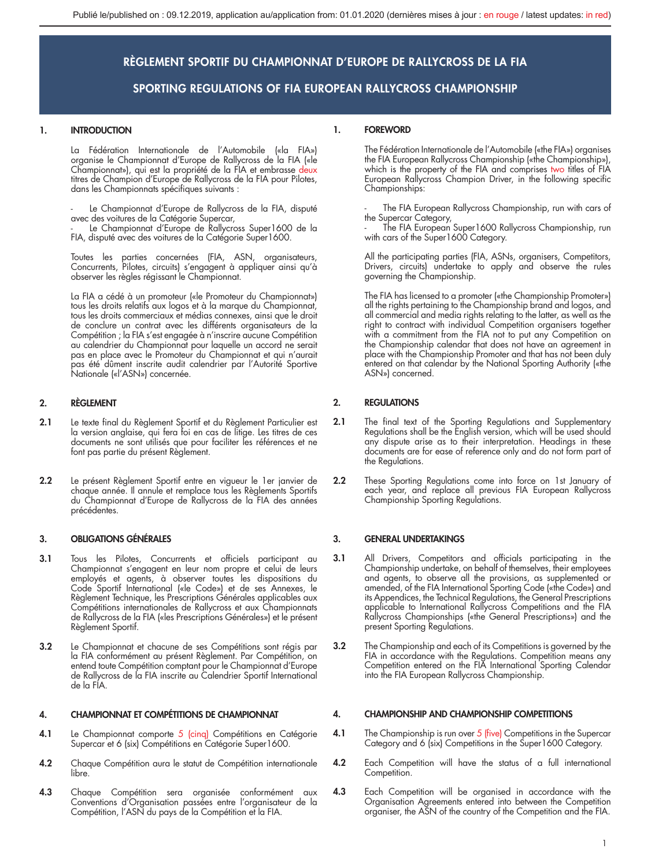## 1. INTRODUCTION

La Fédération Internationale de l'Automobile («la FIA») organise le Championnat d'Europe de Rallycross de la FIA («le Championnat»), qui est la propriété de la FIA et embrasse deux titres de Champion d'Europe de Rallycross de la FIA pour Pilotes, dans les Championnats spécifiques suivants :

Le Championnat d'Europe de Rallycross de la FIA, disputé avec des voitures de la Catégorie Supercar,

Le Championnat d'Europe de Rallycross Super1600 de la FIA, disputé avec des voitures de la Catégorie Super1600.

Toutes les parties concernées (FIA, ASN, organisateurs, Concurrents, Pilotes, circuits) s'engagent à appliquer ainsi qu'à observer les règles régissant le Championnat.

La FIA a cédé à un promoteur («le Promoteur du Championnat») tous les droits relatifs aux logos et à la marque du Championnat, tous les droits commerciaux et médias connexes, ainsi que le droit de conclure un contrat avec les différents organisateurs de la Compétition ; la FIA s'est engagée à n'inscrire aucune Compétition au calendrier du Championnat pour laquelle un accord ne serait pas en place avec le Promoteur du Championnat et qui n'aurait pas été dûment inscrite audit calendrier par l'Autorité Sportive Nationale («l'ASN») concernée.

## 2. RÈGLEMENT

- 2.1 Le texte final du Règlement Sportif et du Règlement Particulier est la version anglaise, qui fera foi en cas de litige. Les titres de ces documents ne sont utilisés que pour faciliter les références et ne font pas partie du présent Règlement.
- 2.2 Le présent Règlement Sportif entre en vigueur le 1er janvier de chaque année. Il annule et remplace tous les Règlements Sportifs du Championnat d'Europe de Rallycross de la FIA des années précédentes.

## 3. OBLIGATIONS GÉNÉRALES

- 3.1 Tous les Pilotes, Concurrents et officiels participant au Championnat s'engagent en leur nom propre et celui de leurs employés et agents, à observer toutes les dispositions du Code Sportif International («le Code») et de ses Annexes, le Règlement Technique, les Prescriptions Générales applicables aux Compétitions internationales de Rallycross et aux Championnats de Rallycross de la FIA («les Prescriptions Générales») et le présent Règlement Sportif.
- 3.2 Le Championnat et chacune de ses Compétitions sont régis par la FIA conformément au présent Règlement. Par Compétition, on entend toute Compétition comptant pour le Championnat d'Europe de Rallycross de la FIA inscrite au Calendrier Sportif International de la FIA.

## 4. CHAMPIONNAT ET COMPÉTITIONS DE CHAMPIONNAT

- **4.1** Le Championnat comporte 5 <mark>(cinq)</mark> Compétitions en Catégorie<br>Supercar et 6 (six) Compétitions en Catégorie Super1600.
- 4.2 Chaque Compétition aura le statut de Compétition internationale libre.
- 4.3 Chaque Compétition sera organisée conformément aux Conventions d'Organisation passées entre l'organisateur de la Compétition, l'ASN du pays de la Compétition et la FIA.

## 1. FOREWORD

The Fédération Internationale de l'Automobile («the FIA») organises the FIA European Rallycross Championship («the Championship»),<br>which is the property of the FIA and comprises two titles of FIA European Rallycross Champion Driver, in the following specific Championships:

The FIA European Rallycross Championship, run with cars of

the Supercar Category, - The FIA European Super1600 Rallycross Championship, run with cars of the Super1600 Category.

All the participating parties (FIA, ASNs, organisers, Competitors, Drivers, circuits) undertake to apply and observe the rules governing the Championship.

The FIA has licensed to a promoter («the Championship Promoter») all the rights pertaining to the Championship brand and logos, and all commercial and media rights relating to the latter, as well as the right to contract with individual Competition organisers together with a commitment from the FIA not to put any Competition on the Championship calendar that does not have an agreement in place with the Championship Promoter and that has not been duly entered on that calendar by the National Sporting Authority («the ASN») concerned.

## 2. REGULATIONS

- 2.1 The final text of the Sporting Regulations and Supplementary Regulations shall be the English version, which will be used should any dispute arise as to their interpretation. Headings in these documents are for ease of reference only and do not form part of the Regulations.
- 2.2 These Sporting Regulations come into force on 1st January of each year, and replace all previous FIA European Rallycross Championship Sporting Regulations.

## 3. GENERAL UNDERTAKINGS

- 3.1 All Drivers, Competitors and officials participating in the Championship undertake, on behalf of themselves, their employees and agents, to observe all the provisions, as supplemented or<br>amended, of the FIA International Sporting Code («the Code») and<br>its Appendices, the Technical Regulations, the General Prescriptions applicable to International Rallycross Competitions and the FIA Rallycross Championships («the General Prescriptions») and the present Sporting Regulations.
- 3.2 The Championship and each of its Competitions is governed by the FIA in accordance with the Regulations. Competition means any Competition entered on the FIA International Sporting Calendar into the FIA European Rallycross Championship.

#### 4. CHAMPIONSHIP AND CHAMPIONSHIP COMPETITIONS

- 4.1 The Championship is run over 5 (five) Competitions in the Supercar Category and 6 (six) Competitions in the Super1600 Category.
- 4.2 Each Competition will have the status of a full international Competition.
- 4.3 Each Competition will be organised in accordance with the Organisation Agreements entered into between the Competition organiser, the ASN of the country of the Competition and the FIA.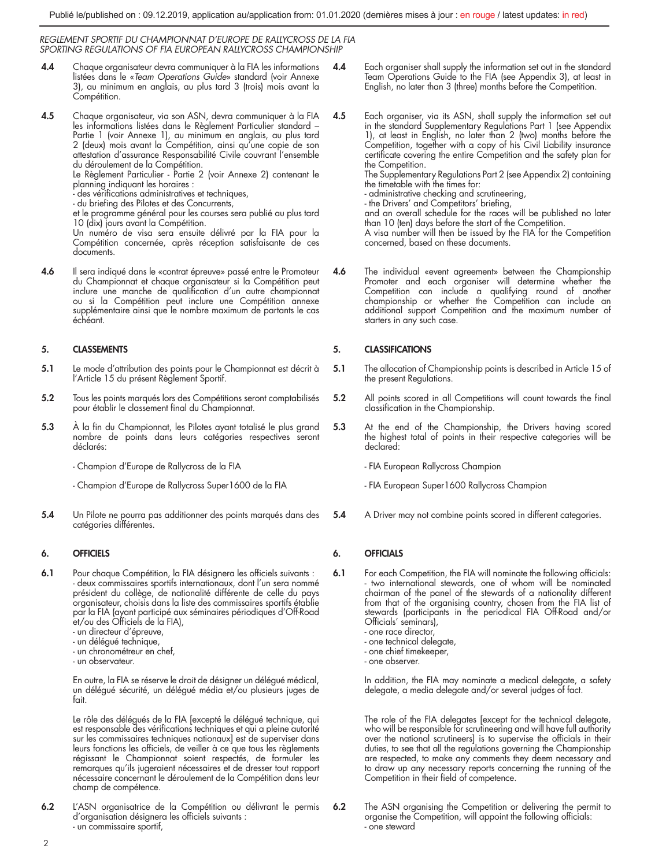- 4.4 Chaque organisateur devra communiquer à la FIA les informations listées dans le «*Team Operations Guide*» standard (voir Annexe 3), au minimum en anglais, au plus tard 3 (trois) mois avant la Compétition.
- 4.5 Chaque organisateur, via son ASN, devra communiquer à la FIA les informations listées dans le Règlement Particulier standard – Partie 1 (voir Annexe 1), au minimum en anglais, au plus tard 2 (deux) mois avant la Compétition, ainsi qu'une copie de son attestation d'assurance Responsabilité Civile couvrant l'ensemble du déroulement de la Compétition.

Le Règlement Particulier - Partie 2 (voir Annexe 2) contenant le planning indiquant les horaires :

- des vérifications administratives et techniques,

- du briefing des Pilotes et des Concurrents,

et le programme général pour les courses sera publié au plus tard 10 (dix) jours avant la Compétition.

Un numéro de visa sera ensuite délivré par la FIA pour la Compétition concernée, après réception satisfaisante de ces documents.

4.6 Il sera indiqué dans le «contrat épreuve» passé entre le Promoteur du Championnat et chaque organisateur si la Compétition peut inclure une manche de qualification d'un autre championnat ou si la Compétition peut inclure une Compétition annexe supplémentaire ainsi que le nombre maximum de partants le cas échéant.

## 5. CLASSEMENTS

- 5.1 Le mode d'attribution des points pour le Championnat est décrit à l'Article 15 du présent Règlement Sportif.
- 5.2 Tous les points marqués lors des Compétitions seront comptabilisés pour établir le classement final du Championnat.
- 5.3 À la fin du Championnat, les Pilotes ayant totalisé le plus grand nombre de points dans leurs catégories respectives seront déclarés:

- Champion d'Europe de Rallycross de la FIA

- Champion d'Europe de Rallycross Super1600 de la FIA
- 5.4 Un Pilote ne pourra pas additionner des points marqués dans des catégories différentes.

## 6. OFFICIELS

- 6.1 Pour chaque Compétition, la FIA désignera les officiels suivants : - deux commissaires sportifs internationaux, dont l'un sera nommé président du collège, de nationalité différente de celle du pays organisateur, choisis dans la liste des commissaires sportifs établie par la FIA (ayant participé aux séminaires périodiques d'Off-Road et/ou des Officiels de la FIA),
	- un directeur d'épreuve,
	- un délégué technique.
	- un chronométreur en chef,
	- un observateur.

En outre, la FIA se réserve le droit de désigner un délégué médical, un délégué sécurité, un délégué média et/ou plusieurs juges de fait.

Le rôle des délégués de la FIA [excepté le délégué technique, qui est responsable des vérifications techniques et qui a pleine autorité sur les commissaires techniques nationaux] est de superviser dans leurs fonctions les officiels, de veiller à ce que tous les règlements régissant le Championnat soient respectés, de formuler les remarques qu'ils jugeraient nécessaires et de dresser tout rapport nécessaire concernant le déroulement de la Compétition dans leur champ de compétence.

6.2 L'ASN organisatrice de la Compétition ou délivrant le permis d'organisation désignera les officiels suivants : - un commissaire sportif,

- Each organiser shall supply the information set out in the standard Team Operations Guide to the FIA (see Appendix 3), at least in English, no later than 3 (three) months before the Competition.
- 4.5 Each organiser, via its ASN, shall supply the information set out in the standard Supplementary Regulations Part 1 (see Appendix 1), at least in English, no later than 2 (two) months before the Competition, together with a copy of his Civil Liability insurance certificate covering the entire Competition and the safety plan for the Competition. The Supplementary Regulations Part 2 (see Appendix 2) containing

the timetable with the times for:

- administrative checking and scrutineering,

- the Drivers' and Competitors' briefing,

and an overall schedule for the races will be published no later than 10 (ten) days before the start of the Competition.

A visa number will then be issued by the FIA for the Competition concerned, based on these documents.

4.6 The individual «event agreement» between the Championship Promoter and each organiser will determine whether the Competition can include a qualifying round of another championship or whether the Competition can include an additional support Competition and the maximum number of starters in any such case.

## 5. CLASSIFICATIONS

- 5.1 The allocation of Championship points is described in Article 15 of the present Regulations.
- 5.2 All points scored in all Competitions will count towards the final classification in the Championship.
- 5.3 At the end of the Championship, the Drivers having scored the highest total of points in their respective categories will be declared:

- FIA European Rallycross Champion

- FIA European Super1600 Rallycross Champion

5.4 A Driver may not combine points scored in different categories.

## 6. OFFICIALS

- 6.1 For each Competition, the FIA will nominate the following officials: two international stewards, one of whom will be nominated chairman of the panel of the stewards of a nationality different from that of the organising country, chosen from the FIA list of stewards (participants in the periodical FIA Off-Road and/or Officials' seminars),
	- one race director,
	- one technical delegate, - one chief timekeeper,
	- one observer.
	-

In addition, the FIA may nominate a medical delegate, a safety delegate, a media delegate and/or several judges of fact.

The role of the FIA delegates [except for the technical delegate, who will be responsible for scrutineering and will have full authority over the national scrutineers] is to supervise the officials in their duties, to see that all the regulations governing the Championship are respected, to make any comments they deem necessary and to draw up any necessary reports concerning the running of the Competition in their field of competence.

6.2 The ASN organising the Competition or delivering the permit to organise the Competition, will appoint the following officials: - one steward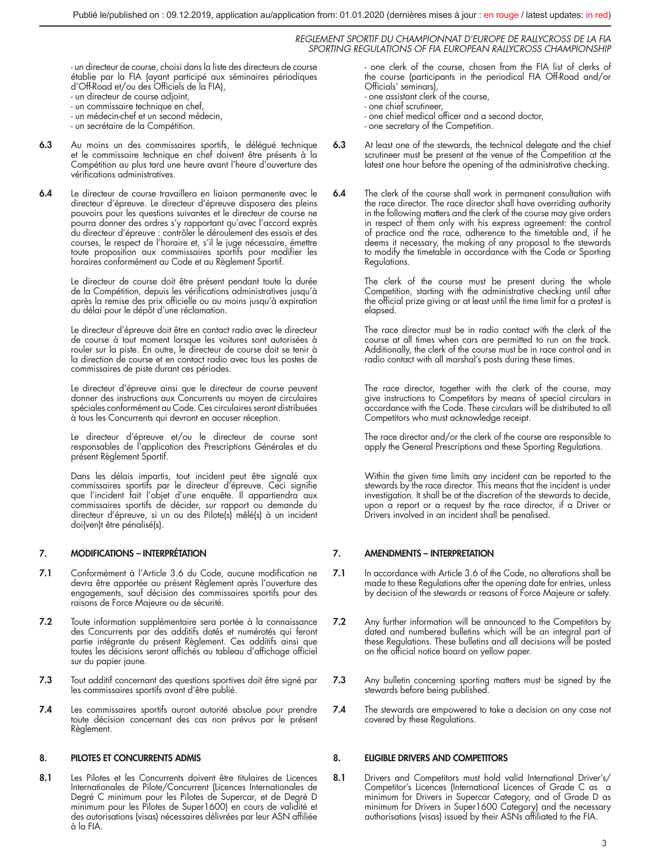- un directeur de course, choisi dans la liste des directeurs de course établie par la FIA (ayant participé aux séminaires périodiques d'Off-Road et/ou des Officiels de la FIA),

- un directeur de course adjoint,
- un commissaire technique en chef,
- un médecin-chef et un second médecin,
- un secrétaire de la Compétition.
- 6.3 Au moins un des commissaires sportifs, le délégué technique et le commissaire technique en chef doivent être présents à la Compétition au plus tard une heure avant l'heure d'ouverture des vérifications administratives.
- 6.4 Le directeur de course travaillera en liaison permanente avec le directeur d'épreuve. Le directeur d'épreuve disposera des pleins pouvoirs pour les questions suivantes et le directeur de course ne pourra donner des ordres s'y rapportant qu'avec l'accord exprès du directeur d'épreuve : contrôler le déroulement des essais et des courses, le respect de l'horaire et, s'il le juge nécessaire, émettre toute proposition aux commissaires sportifs pour modifier les horaires conformément au Code et au Règlement Sportif.

Le directeur de course doit être présent pendant toute la durée de la Compétition, depuis les vérifications administratives jusqu'à après la remise des prix officielle ou au moins jusqu'à expiration du délai pour le dépôt d'une réclamation.

Le directeur d'épreuve doit être en contact radio avec le directeur de course à tout moment lorsque les voitures sont autorisées à rouler sur la piste. En outre, le directeur de course doit se tenir à la direction de course et en contact radio avec tous les postes de commissaires de piste durant ces périodes.

Le directeur d'épreuve ainsi que le directeur de course peuvent donner des instructions aux Concurrents au moyen de circulaires spéciales conformément au Code. Ces circulaires seront distribuées à tous les Concurrents qui devront en accuser réception.

Le directeur d'épreuve et/ou le directeur de course sont responsables de l'application des Prescriptions Générales et du présent Règlement Sportif.

Dans les délais impartis, tout incident peut être signalé aux commissaires sportifs par le directeur d'épreuve. Ceci signifie que l'incident fait l'objet d'une enquête. Il appartiendra aux commissaires sportifs de décider, sur rapport ou demande du directeur d'épreuve, si un ou des Pilote(s) mêlé(s) à un incident doi(ven)t être pénalisé(s).

## 7. MODIFICATIONS – INTERPRÉTATION

- 7.1 Conformément à l'Article 3.6 du Code, aucune modification ne devra être apportée au présent Règlement après l'ouverture des engagements, sauf décision des commissaires sportifs pour des raisons de Force Majeure ou de sécurité.
- 7.2 Toute information supplémentaire sera portée à la connaissance des Concurrents par des additifs datés et numérotés qui feront partie intégrante du présent Règlement. Ces additifs ainsi que toutes les décisions seront affichés au tableau d'affichage officiel sur du papier jaune.
- 7.3 Tout additif concernant des questions sportives doit être signé par les commissaires sportifs avant d'être publié.
- 7.4 Les commissaires sportifs auront autorité absolue pour prendre toute décision concernant des cas non prévus par le présent Règlement.

## 8. PILOTES ET CONCURRENTS ADMIS

8.1 Les Pilotes et les Concurrents doivent être titulaires de Licences Internationales de Pilote/Concurrent (Licences Internationales de Degré C minimum pour les Pilotes de Supercar, et de Degré D minimum pour les Pilotes de Super1600) en cours de validité et des autorisations (visas) nécessaires délivrées par leur ASN affiliée à la FIA.

one clerk of the course, chosen from the FIA list of clerks of the course (participants in the periodical FIA Off-Road and/or Officials' seminars),

- one assistant clerk of the course,
- one chief scrutineer,
- one chief medical officer and a second doctor,
- one secretary of the Competition.
- 6.3 At least one of the stewards, the technical delegate and the chief scrutineer must be present at the venue of the Competition at the latest one hour before the opening of the administrative checking.
- 6.4 The clerk of the course shall work in permanent consultation with the race director. The race director shall have overriding authority in the following matters and the clerk of the course may give orders in respect of them only with his express agreement: the control of practice and the race, adherence to the timetable and, if he deems it necessary, the making of any proposal to the stewards to modify the timetable in accordance with the Code or Sporting Regulations.

The clerk of the course must be present during the whole Competition, starting with the administrative checking until after the official prize giving or at least until the time limit for a protest is elapsed.

The race director must be in radio contact with the clerk of the course at all times when cars are permitted to run on the track. Additionally, the clerk of the course must be in race control and in radio contact with all marshal's posts during these times.

The race director, together with the clerk of the course, may give instructions to Competitors by means of special circulars in accordance with the Code. These circulars will be distributed to all Competitors who must acknowledge receipt.

The race director and/or the clerk of the course are responsible to apply the General Prescriptions and these Sporting Regulations.

Within the given time limits any incident can be reported to the stewards by the race director. This means that the incident is under investigation. It shall be at the discretion of the stewards to decide, upon a report or a request by the race director, if a Driver or Drivers involved in an incident shall be penalised.

## 7. AMENDMENTS – INTERPRETATION

- 7.1 In accordance with Article 3.6 of the Code, no alterations shall be made to these Regulations after the opening date for entries, unless by decision of the stewards or reasons of Force Majeure or safety.
- 7.2 Any further information will be announced to the Competitors by dated and numbered bulletins which will be an integral part of these Regulations. These bulletins and all decisions will be posted on the official notice board on yellow paper.
- 7.3 Any bulletin concerning sporting matters must be signed by the stewards before being published.
- 7.4 The stewards are empowered to take a decision on any case not covered by these Regulations.

## 8. ELIGIBLE DRIVERS AND COMPETITORS

8.1 Drivers and Competitors must hold valid International Driver's/ Competitor's Licences (International Licences of Grade C as a minimum for Drivers in Supercar Category, and of Grade D as minimum for Drivers in Super1600 Category) and the necessary authorisations (visas) issued by their ASNs affiliated to the FIA.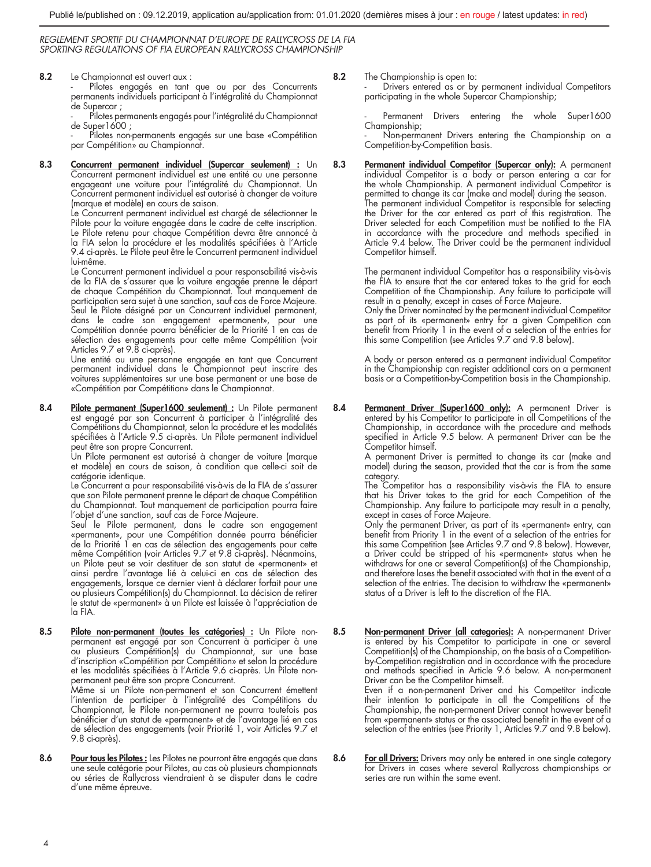8.2 Le Championnat est ouvert aux :

Pilotes engagés en tant que ou par des Concurrents permanents individuels participant à l'intégralité du Championnat de Supercar ;

- Pilotes permanents engagés pour l'intégralité du Championnat de Super1600 ;

Pilotes non-permanents engagés sur une base «Compétition par Compétition» au Championnat.

8.3 Concurrent permanent individuel (Supercar seulement) : Un Concurrent permanent individuel est une entité ou une personne engageant une voiture pour l'intégralité du Championnat. Un Concurrent permanent individuel est autorisé à changer de voiture (marque et modèle) en cours de saison.

Le Concurrent permanent individuel est chargé de sélectionner le Pilote pour la voiture engagée dans le cadre de cette inscription. Le Pilote retenu pour chaque Compétition devra être annoncé à la FIA selon la procédure et les modalités spécifiées à l'Article 9.4 ci-après. Le Pilote peut être le Concurrent permanent individuel lui-même.

Le Concurrent permanent individuel a pour responsabilité vis-à-vis de la FIA de s'assurer que la voiture engagée prenne le départ de chaque Compétition du Championnat. Tout manquement de participation sera sujet à une sanction, sauf cas de Force Majeure. Seul le Pilote désigné par un Concurrent individuel permanent, dans le cadre son engagement «permanent», pour une Compétition donnée pourra bénéficier de la Priorité 1 en cas de sélection des engagements pour cette même Compétition (voir Articles 9.7 et 9.8 ci-après).

Une entité ou une personne engagée en tant que Concurrent permanent individuel dans le Championnat peut inscrire des voitures supplémentaires sur une base permanent or une base de «Compétition par Compétition» dans le Championnat.

8.4 Pilote permanent (Super1600 seulement) : Un Pilote permanent est engagé par son Concurrent à participer à l'intégralité des Compétitions du Championnat, selon la procédure et les modalités spécifiées à l'Article 9.5 ci-après. Un Pilote permanent individuel

peut être son propre Concurrent. Un Pilote permanent est autorisé à changer de voiture (marque et modèle) en cours de saison, à condition que celle-ci soit de catégorie identique.

Le Concurrent a pour responsabilité vis-à-vis de la FIA de s'assurer que son Pilote permanent prenne le départ de chaque Compétition du Championnat. Tout manquement de participation pourra faire l'objet d'une sanction, sauf cas de Force Majeure.

Seul le Pilote permanent, dans le cadre son engagement «permanent», pour une Compétition donnée pourra bénéficier de la Priorité 1 en cas de sélection des engagements pour cette même Compétition (voir Articles 9.7 et 9.8 ci-après). Néanmoins, un Pilote peut se voir destituer de son statut de «permanent» et ainsi perdre l'avantage lié à celui-ci en cas de sélection des engagements, lorsque ce dernier vient à déclarer forfait pour une ou plusieurs Compétition(s) du Championnat. La décision de retirer le statut de «permanent» à un Pilote est laissée à l'appréciation de la FIA.

8.5 Pilote non-permanent (toutes les catégories) : Un Pilote nonpermanent est engagé par son Concurrent à participer à une ou plusieurs Compétition(s) du Championnat, sur une base d'inscription «Compétition par Compétition» et selon la procédure et les modalités spécifiées à l'Article 9.6 ci-après. Un Pilote nonpermanent peut être son propre Concurrent.

Même si un Pilote non-permanent et son Concurrent émettent l'intention de participer à l'intégralité des Compétitions du Championnat, le Pilote non-permanent ne pourra toutefois pas bénéficier d'un statut de «permanent» et de l'avantage lié en cas de sélection des engagements (voir Priorité 1, voir Articles 9.7 et 9.8 ci-après).

8.6 Pour tous les Pilotes : Les Pilotes ne pourront être engagés que dans une seule catégorie pour Pilotes, au cas où plusieurs championnats ou séries de Rallycross viendraient à se disputer dans le cadre d'une même épreuve.

8.2 The Championship is open to:

Drivers entered as or by permanent individual Competitors participating in the whole Supercar Championship;

Permanent Drivers entering the whole Super1600 Championship;

Non-permanent Drivers entering the Championship on a Competition-by-Competition basis.

8.3 Permanent individual Competitor (Supercar only): A permanent individual Competitor is a body or person entering a car for the whole Championship. A permanent individual Competitor is permitted to change its car (make and model) during the season. The permanent individual Competitor is responsible for selecting the Driver for the car entered as part of this registration. The Driver selected for each Competition must be notified to the FIA in accordance with the procedure and methods specified in Article 9.4 below. The Driver could be the permanent individual Competitor himself.

> The permanent individual Competitor has a responsibility vis-à-vis the FIA to ensure that the car entered takes to the grid for each Competition of the Championship. Any failure to participate will result in a penalty, except in cases of Force Majeure.

> Only the Driver nominated by the permanent individual Competitor as part of its «permanent» entry for a given Competition can benefit from Priority 1 in the event of a selection of the entries for this same Competition (see Articles 9.7 and 9.8 below).

> A body or person entered as a permanent individual Competitor in the Championship can register additional cars on a permanent basis or a Competition-by-Competition basis in the Championship.

8.4 Permanent Driver (Super1600 only): A permanent Driver is entered by his Competitor to participate in all Competitions of the Championship, in accordance with the procedure and methods specified in Article 9.5 below. A permanent Driver can be the Competitor himself.

A permanent Driver is permitted to change its car (make and model) during the season, provided that the car is from the same category.

The Competitor has a responsibility vis-à-vis the FIA to ensure that his Driver takes to the grid for each Competition of the Championship. Any failure to participate may result in a penalty, except in cases of Force Majeure.

Only the permanent Driver, as part of its «permanent» entry, can benefit from Priority 1 in the event of a selection of the entries for this same Competition (see Articles 9.7 and 9.8 below). However, a Driver could be stripped of his «permanent» status when he withdraws for one or several Competition(s) of the Championship, and therefore loses the benefit associated with that in the event of a selection of the entries. The decision to withdraw the «permanent» status of a Driver is left to the discretion of the FIA.

8.5 Non-permanent Driver (all categories): A non-permanent Driver is entered by his Competitor to participate in one or several Competition(s) of the Championship, on the basis of a Competitionby-Competition registration and in accordance with the procedure and methods specified in Article 9.6 below. A non-permanent Driver can be the Competitor himself.

Even if a non-permanent Driver and his Competitor indicate their intention to participate in all the Competitions of the Championship, the non-permanent Driver cannot however benefit from «permanent» status or the associated benefit in the event of a selection of the entries (see Priority 1, Articles 9.7 and 9.8 below).

8.6 For all Drivers: Drivers may only be entered in one single category for Drivers in cases where several Rallycross championships or series are run within the same event.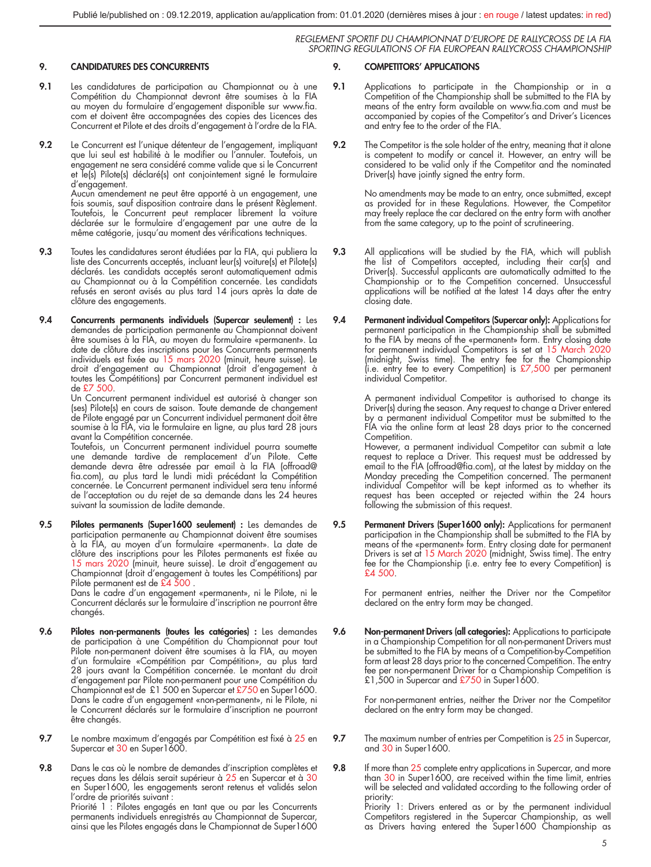### 9. CANDIDATURES DES CONCURRENTS

- 9.1 Les candidatures de participation au Championnat ou à une Compétition du Championnat devront être soumises à la FIA au moyen du formulaire d'engagement disponible sur www.fia. com et doivent être accompagnées des copies des Licences des Concurrent et Pilote et des droits d'engagement à l'ordre de la FIA.
- 9.2 Le Concurrent est l'unique détenteur de l'engagement, impliquant que lui seul est habilité à le modifier ou l'annuler. Toutefois, un engagement ne sera considéré comme valide que si le Concurrent et le(s) Pilote(s) déclaré(s) ont conjointement signé le formulaire d'engagement. Aucun amendement ne peut être apporté à un engagement, une fois soumis, sauf disposition contraire dans le présent Règlement.

Toutefois, le Concurrent peut remplacer librement la voiture déclarée sur le formulaire d'engagement par une autre de la même catégorie, jusqu'au moment des vérifications techniques.

- 9.3 Toutes les candidatures seront étudiées par la FIA, qui publiera la liste des Concurrents acceptés, incluant leur(s) voiture(s) et Pilote(s) déclarés. Les candidats acceptés seront automatiquement admis au Championnat ou à la Compétition concernée. Les candidats refusés en seront avisés au plus tard 14 jours après la date de clôture des engagements.
- 9.4 Concurrents permanents individuels (Supercar seulement) : Les demandes de participation permanente au Championnat doivent être soumises à la FIA, au moyen du formulaire «permanent». La date de clôture des inscriptions pour les Concurrents permanents individuels est fixée au 15 mars 2020 (minuit, heure suisse). Le droit d'engagement au Championnat (droit d'engagement à toutes les Compétitions) par Concurrent permanent individuel est de £7 500.

Un Concurrent permanent individuel est autorisé à changer son (ses) Pilote(s) en cours de saison. Toute demande de changement de Pilote engagé par un Concurrent individuel permanent doit être soumise à la FIA, via le formulaire en ligne, au plus tard 28 jours avant la Compétition concernée.

Toutefois, un Concurrent permanent individuel pourra soumette une demande tardive de remplacement d'un Pilote. Cette demande devra être adressée par email à la FIA (offroad@ fia.com), au plus tard le lundi midi précédant la Compétition concernée. Le Concurrent permanent individuel sera tenu informé de l'acceptation ou du rejet de sa demande dans les 24 heures suivant la soumission de ladite demande.

9.5 Pilotes permanents (Super1600 seulement) : Les demandes de participation permanente au Championnat doivent être soumises à la FIA, au moyen d'un formulaire «permanent». La date de clôture des inscriptions pour les Pilotes permanents est fixée au 15 mars 2020 (minuit, heure suisse). Le droit d'engagement au Championnat (droit d'engagement à toutes les Compétitions) par Pilote permanent est de £4 500 .

Dans le cadre d'un engagement «permanent», ni le Pilote, ni le Concurrent déclarés sur le formulaire d'inscription ne pourront être changés.

- 9.6 Pilotes non-permanents (toutes les catégories) : Les demandes de participation à une Compétition du Championnat pour tout Pilote non-permanent doivent être soumises à la FIA, au moyen d'un formulaire «Compétition par Compétition», au plus tard 28 jours avant la Compétition concernée. Le montant du droit d'engagement par Pilote non-permanent pour une Compétition du Championnat est de £1 500 en Supercar et £750 en Super1600. Dans le cadre d'un engagement «non-permanent», ni le Pilote, ni le Concurrent déclarés sur le formulaire d'inscription ne pourront être changés.
- 9.7 Le nombre maximum d'engagés par Compétition est fixé à 25 en Supercar et 30 en Super1600.

9.8 Dans le cas où le nombre de demandes d'inscription complètes et reçues dans les délais serait supérieur à 25 en Supercar et à 30 en Super1600, les engagements seront retenus et validés selon l'ordre de priorités suivant : Priorité 1 : Pilotes engagés en tant que ou par les Concurrents permanents individuels enregistrés au Championnat de Supercar, ainsi que les Pilotes engagés dans le Championnat de Super1600

## 9. COMPETITORS' APPLICATIONS

- 9.1 Applications to participate in the Championship or in a Competition of the Championship shall be submitted to the FIA by means of the entry form available on www.fia.com and must be accompanied by copies of the Competitor's and Driver's Licences and entry fee to the order of the FIA.
- 9.2 The Competitor is the sole holder of the entry, meaning that it alone is competent to modify or cancel it. However, an entry will be considered to be valid only if the Competitor and the nominated Driver(s) have jointly signed the entry form.

No amendments may be made to an entry, once submitted, except as provided for in these Regulations. However, the Competitor may freely replace the car declared on the entry form with another from the same category, up to the point of scrutineering.

- 9.3 All applications will be studied by the FIA, which will publish the list of Competitors accepted, including their car(s) and Driver(s). Successful applicants are automatically admitted to the Championship or to the Competition concerned. Unsuccessful applications will be notified at the latest 14 days after the entry closing date.
- 9.4 Permanent individual Competitors (Supercar only): Applications for permanent participation in the Championship shall be submitted to the FIA by means of the «permanent» form. Entry closing date for permanent individual Competitors is set at 15 March 2020 (midnight, Swiss time). The entry fee for the Championship (i.e. entry fee to every Competition) is £7,500 per permanent individual Competitor.

A permanent individual Competitor is authorised to change its Driver(s) during the season. Any request to change a Driver entered by a permanent individual Competitor must be submitted to the FIA via the online form at least 28 days prior to the concerned Competition.

However, a permanent individual Competitor can submit a late request to replace a Driver. This request must be addressed by email to the FIA (offroad@fia.com), at the latest by midday on the Monday preceding the Competition concerned. The permanent individual Competitor will be kept informed as to whether its request has been accepted or rejected within the 24 hours following the submission of this request.

**9.5 Permanent Drivers (Super1600 only):** Applications for permanent<br>participation in the Championship shall be submitted to the FIA by means of the «permanent» form. Entry closing date for permanent Drivers is set at 15 March 2020 (midnight, Swiss time). The entry fee for the Championship (i.e. entry fee to every Competition) is £4 500.

> For permanent entries, neither the Driver nor the Competitor declared on the entry form may be changed.

9.6 Non-permanent Drivers (all categories): Applications to participate in a Championship Competition for all non-permanent Drivers must be submitted to the FIA by means of a Competition-by-Competition form at least 28 days prior to the concerned Competition. The entry fee per non-permanent Driver for a Championship Competition is<br>£1,500 in Supercar and <u>£750</u> in Super1600.

For non-permanent entries, neither the Driver nor the Competitor declared on the entry form may be changed.

- 9.7 The maximum number of entries per Competition is 25 in Supercar, and 30 in Super1600.
- 9.8 If more than 25 complete entry applications in Supercar, and more than 30 in Super1600, are received within the time limit, entries will be selected and validated according to the following order of

priority: Priority 1: Drivers entered as or by the permanent individual Competitors registered in the Supercar Championship, as well as Drivers having entered the Super1600 Championship as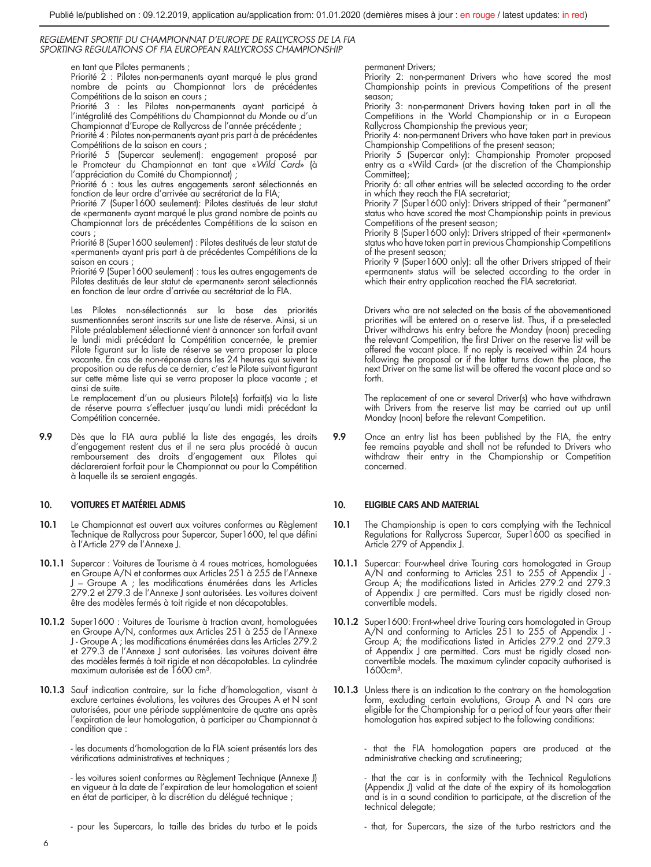en tant que Pilotes permanents ;

Priorité 2 : Pilotes non-permanents ayant marqué le plus grand nombre de points au Championnat lors de précédentes Compétitions de la saison en cours ;

Priorité 3 : les Pilotes non-permanents ayant participé à l'intégralité des Compétitions du Championnat du Monde ou d'un Championnat d'Europe de Rallycross de l'année précédente ;

Priorité 4 : Pilotes non-permanents ayant pris part à de précédentes

Compétitions de la saison en cours ; Priorité 5 (Supercar seulement): engagement proposé par le Promoteur du Championnat en tant que «*Wild Card*» (à l'appréciation du Comité du Championnat) ;

Priorité 6 : tous les autres engagements seront sélectionnés en fonction de leur ordre d'arrivée au secrétariat de la FIA;

Priorité 7 (Super1600 seulement): Pilotes destitués de leur statut de «permanent» ayant marqué le plus grand nombre de points au Championnat lors de précédentes Compétitions de la saison en cours ;

Priorité 8 (Super1600 seulement) : Pilotes destitués de leur statut de «permanent» ayant pris part à de précédentes Compétitions de la saison en cours

Priorité 9 (Super1600 seulement) : tous les autres engagements de Pilotes destitués de leur statut de «permanent» seront sélectionnés en fonction de leur ordre d'arrivée au secrétariat de la FIA.

Les Pilotes non-sélectionnés sur la base des priorités susmentionnées seront inscrits sur une liste de réserve. Ainsi, si un Pilote préalablement sélectionné vient à annoncer son forfait avant le lundi midi précédant la Compétition concernée, le premier Pilote figurant sur la liste de réserve se verra proposer la place vacante. En cas de non-réponse dans les 24 heures qui suivent la proposition ou de refus de ce dernier, c'est le Pilote suivant figurant sur cette même liste qui se verra proposer la place vacante ; et ainsi de suite.

Le remplacement d'un ou plusieurs Pilote(s) forfait(s) via la liste de réserve pourra s'effectuer jusqu'au lundi midi précédant la Compétition concernée.

9.9 Dès que la FIA aura publié la liste des engagés, les droits d'engagement restent dus et il ne sera plus procédé à aucun remboursement des droits d'engagement aux Pilotes qui déclareraient forfait pour le Championnat ou pour la Compétition à laquelle ils se seraient engagés.

## 10. VOITURES ET MATÉRIEL ADMIS

- 10.1 Le Championnat est ouvert aux voitures conformes au Règlement Technique de Rallycross pour Supercar, Super1600, tel que défini à l'Article 279 de l'Annexe J.
- 10.1.1 Supercar : Voitures de Tourisme à 4 roues motrices, homologuées en Groupe A/N et conformes aux Articles 251 à 255 de l'Annexe J – Groupe A ; les modifications énumérées dans les Articles 279.2 et 279.3 de l'Annexe J sont autorisées. Les voitures doivent être des modèles fermés à toit rigide et non décapotables.
- 10.1.2 Super1600 : Voitures de Tourisme à traction avant, homologuées en Groupe A/N, conformes aux Articles 251 à 255 de l'Annexe J - Groupe A ; les modifications énumérées dans les Articles 279.2 et 279.3 de l'Annexe J sont autorisées. Les voitures doivent être des modèles fermés à toit rigide et non décapotables. La cylindrée maximum autorisée est de 1600 cm<sup>3</sup>.
- 10.1.3 Sauf indication contraire, sur la fiche d'homologation, visant à exclure certaines évolutions, les voitures des Groupes A et N sont autorisées, pour une période supplémentaire de quatre ans après l'expiration de leur homologation, à participer au Championnat à condition que :

- les documents d'homologation de la FIA soient présentés lors des vérifications administratives et techniques ;

- les voitures soient conformes au Règlement Technique (Annexe J) en vigueur à la date de l'expiration de leur homologation et soient en état de participer, à la discrétion du délégué technique ;

- pour les Supercars, la taille des brides du turbo et le poids

permanent Drivers;

Priority 2: non-permanent Drivers who have scored the most Championship points in previous Competitions of the present season;

Priority 3: non-permanent Drivers having taken part in all the Competitions in the World Championship or in a European Rallycross Championship the previous year;

Priority 4: non-permanent Drivers who have taken part in previous Championship Competitions of the present season;

Priority 5 (Supercar only): Championship Promoter proposed entry as a «Wild Card» (at the discretion of the Championship Committee);

Priority 6: all other entries will be selected according to the order in which they reach the FIA secretariat;

Priority 7 (Super1600 only): Drivers stripped of their "permanent" status who have scored the most Championship points in previous Competitions of the present season;

Priority 8 (Super1600 only): Drivers stripped of their «permanent» status who have taken part in previous Championship Competitions of the present season;

Priority 9 (Super1600 only): all the other Drivers stripped of their «permanent» status will be selected according to the order in which their entry application reached the FIA secretariat.

Drivers who are not selected on the basis of the abovementioned priorities will be entered on a reserve list. Thus, if a pre-selected Driver withdraws his entry before the Monday (noon) preceding the relevant Competition, the first Driver on the reserve list will be offered the vacant place. If no reply is received within 24 hours following the proposal or if the latter turns down the place, the next Driver on the same list will be offered the vacant place and so forth.

The replacement of one or several Driver(s) who have withdrawn with Drivers from the reserve list may be carried out up until Monday (noon) before the relevant Competition.

9.9 Once an entry list has been published by the FIA, the entry fee remains payable and shall not be refunded to Drivers who withdraw their entry in the Championship or Competition concerned.

## 10. ELIGIBLE CARS AND MATERIAL

- 10.1 The Championship is open to cars complying with the Technical Regulations for Rallycross Supercar, Super1600 as specified in Article 279 of Appendix J.
- 10.1.1 Supercar: Four-wheel drive Touring cars homologated in Group A/N and conforming to Articles 251 to 255 of Appendix J Group A; the modifications listed in Articles 279.2 and 279.3 of Appendix J are permitted. Cars must be rigidly closed nonconvertible models.
- 10.1.2 Super1600: Front-wheel drive Touring cars homologated in Group A/N and conforming to Articles 251 to 255 of Appendix J Group A; the modifications listed in Articles 279.2 and 279.3 of Appendix J are permitted. Cars must be rigidly closed non-convertible models. The maximum cylinder capacity authorised is 1600<sub>cm</sub><sup>3</sup>.
- 10.1.3 Unless there is an indication to the contrary on the homologation form, excluding certain evolutions, Group A and N cars are eligible for the Championship for a period of four years after their homologation has expired subject to the following conditions:

- that the FIA homologation papers are produced at the administrative checking and scrutineering;

- that the car is in conformity with the Technical Regulations (Appendix J) valid at the date of the expiry of its homologation and is in a sound condition to participate, at the discretion of the technical delegate;

- that, for Supercars, the size of the turbo restrictors and the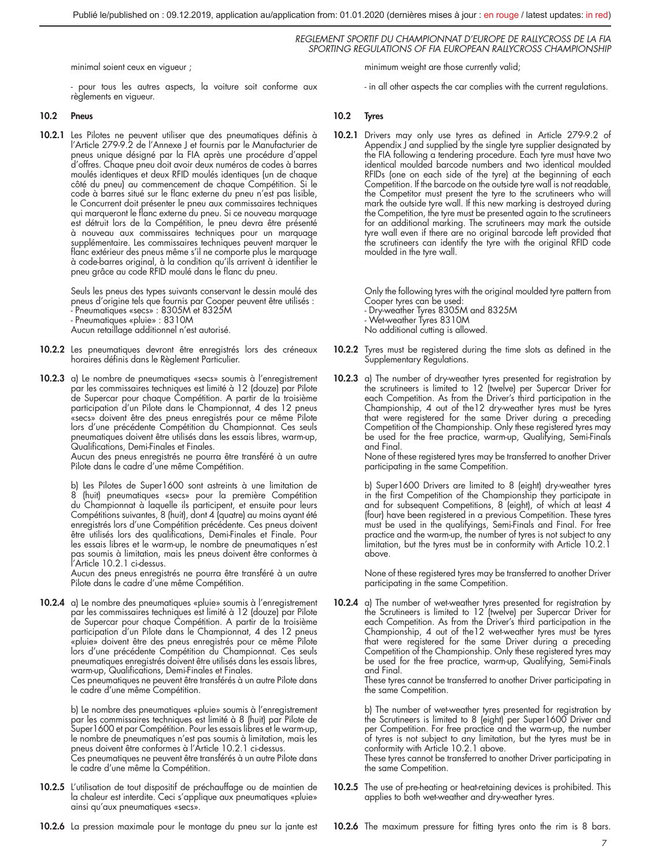minimal soient ceux en vigueur ;

- pour tous les autres aspects, la voiture soit conforme aux règlements en vigueur.

## 10.2 Pneus

10.2.1 Les Pilotes ne peuvent utiliser que des pneumatiques définis à l'Article 279-9.2 de l'Annexe J et fournis par le Manufacturier de pneus unique désigné par la FIA après une procédure d'appel d'offres. Chaque pneu doit avoir deux numéros de codes à barres moulés identiques et deux RFID moulés identiques (un de chaque côté du pneu) au commencement de chaque Compétition. Si le code à barres situé sur le flanc externe du pneu n'est pas lisible, le Concurrent doit présenter le pneu aux commissaires techniques qui marqueront le flanc externe du pneu. Si ce nouveau marquage est détruit lors de la Compétition, le pneu devra être présenté à nouveau aux commissaires techniques pour un marquage supplémentaire. Les commissaires techniques peuvent marquer le flanc extérieur des pneus même s'il ne comporte plus le marquage à code-barres original, à la condition qu'ils arrivent à identifier le pneu grâce au code RFID moulé dans le flanc du pneu.

> Seuls les pneus des types suivants conservant le dessin moulé des pneus d'origine tels que fournis par Cooper peuvent être utilisés : - Pneumatiques «secs» : 8305M et 8325M - Pneumatiques «pluie» : 8310M Aucun retaillage additionnel n'est autorisé.

- 10.2.2 Les pneumatiques devront être enregistrés lors des créneaux horaires définis dans le Règlement Particulier.
- 10.2.3 a) Le nombre de pneumatiques «secs» soumis à l'enregistrement par les commissaires techniques est limité à 12 (douze) par Pilote de Supercar pour chaque Compétition. A partir de la troisième participation d'un Pilote dans le Championnat, 4 des 12 pneus «secs» doivent être des pneus enregistrés pour ce même Pilote lors d'une précédente Compétition du Championnat. Ces seuls pneumatiques doivent être utilisés dans les essais libres, warm-up, Qualifications, Demi-Finales et Finales.

Aucun des pneus enregistrés ne pourra être transféré à un autre Pilote dans le cadre d'une même Compétition.

b) Les Pilotes de Super1600 sont astreints à une limitation de<br>8 (huit) pneumatiques «secs» pour la première Compétition du Championnat à laquelle ils participent, et ensuite pour leurs Compétitions suivantes, 8 (huit), dont 4 (quatre) au moins ayant été enregistrés lors d'une Compétition précédente. Ces pneus doivent être utilisés lors des qualifications, Demi-Finales et Finale. Pour les essais libres et le warm-up, le nombre de pneumatiques n'est pas soumis à limitation, mais les pneus doivent être conformes à l'Article 10.2.1 ci-dessus.

Aucun des pneus enregistrés ne pourra être transféré à un autre Pilote dans le cadre d'une même Compétition.

10.2.4 a) Le nombre des pneumatiques «pluie» soumis à l'enregistrement par les commissaires techniques est limité à 12 (douze) par Pilote de Supercar pour chaque Compétition. A partir de la troisième participation d'un Pilote dans le Championnat, 4 des 12 pneus «pluie» doivent être des pneus enregistrés pour ce même Pilote lors d'une précédente Compétition du Championnat. Ces seuls pneumatiques enregistrés doivent être utilisés dans les essais libres, warm-up, Qualifications, Demi-Finales et Finales.

Ces pneumatiques ne peuvent être transférés à un autre Pilote dans le cadre d'une même Compétition.

b) Le nombre des pneumatiques «pluie» soumis à l'enregistrement par les commissaires techniques est limité à 8 (huit) par Pilote de Super1600 et par Compétition. Pour les essais libres et le warm-up, le nombre de pneumatiques n'est pas soumis à limitation, mais les pneus doivent être conformes à l'Article 10.2.1 ci-dessus.

Ces pneumatiques ne peuvent être transférés à un autre Pilote dans le cadre d'une même la Compétition.

10.2.5 L'utilisation de tout dispositif de préchauffage ou de maintien de la chaleur est interdite. Ceci s'applique aux pneumatiques «pluie» ainsi qu'aux pneumatiques «secs».

minimum weight are those currently valid;

- in all other aspects the car complies with the current regulations.

## 10.2 Tyres

10.2.1 Drivers may only use tyres as defined in Article 279-9.2 of Appendix J and supplied by the single tyre supplier designated by the FIA following a tendering procedure. Each tyre must have two identical moulded barcode numbers and two identical moulded RFIDs (one on each side of the tyre) at the beginning of each Competition. If the barcode on the outside tyre wall is not readable, the Competitor must present the tyre to the scrutineers who will mark the outside tyre wall. If this new marking is destroyed during the Competition, the tyre must be presented again to the scrutineers for an additional marking. The scrutineers may mark the outside tyre wall even if there are no original barcode left provided that the scrutineers can identify the tyre with the original RFID code moulded in the tyre wall.

> Only the following tyres with the original moulded tyre pattern from Cooper tyres can be used:

- Dry-weather Tyres 8305M and 8325M

- Wet-weather Tyres 8310M

No additional cutting is allowed.

- 10.2.2 Tyres must be registered during the time slots as defined in the Supplementary Regulations.
- 10.2.3 a) The number of dry-weather tyres presented for registration by the scrutineers is limited to 12 (twelve) per Supercar Driver for each Competition. As from the Driver's third participation in the Championship, 4 out of the12 dry-weather tyres must be tyres that were registered for the same Driver during a preceding Competition of the Championship. Only these registered tyres may be used for the free practice, warm-up, Qualifying, Semi-Finals and Final.

None of these registered tyres may be transferred to another Driver participating in the same Competition.

b) Super1600 Drivers are limited to 8 (eight) dry-weather tyres in the first Competition of the Championship they participate in and for subsequent Competitions, 8 (eight), of which at least 4 (four) have been registered in a previous Competition. These tyres must be used in the qualifyings, Semi-Finals and Final. For free practice and the warm-up, the number of tyres is not subject to any limitation, but the tyres must be in conformity with Article 10.2.1 above.

None of these registered tyres may be transferred to another Driver participating in the same Competition.

10.2.4 a) The number of wet-weather tyres presented for registration by the Scrutineers is limited to 12 (twelve) per Supercar Driver for each Competition. As from the Driver's third participation in the Championship, 4 out of the12 wet-weather tyres must be tyres that were registered for the same Driver during a preceding Competition of the Championship. Only these registered tyres may be used for the free practice, warm-up, Qualifying, Semi-Finals and Final.

These tyres cannot be transferred to another Driver participating in the same Competition.

b) The number of wet-weather tyres presented for registration by the Scrutineers is limited to 8 (eight) per Super1600 Driver and per Competition. For free practice and the warm-up, the number of tyres is not subject to any limitation, but the tyres must be in conformity with Article 10.2.1 above.

These tyres cannot be transferred to another Driver participating in the same Competition.

- 10.2.5 The use of pre-heating or heat-retaining devices is prohibited. This applies to both wet-weather and dry-weather tyres.
- 10.2.6 La pression maximale pour le montage du pneu sur la jante est

10.2.6 The maximum pressure for fitting tyres onto the rim is 8 bars.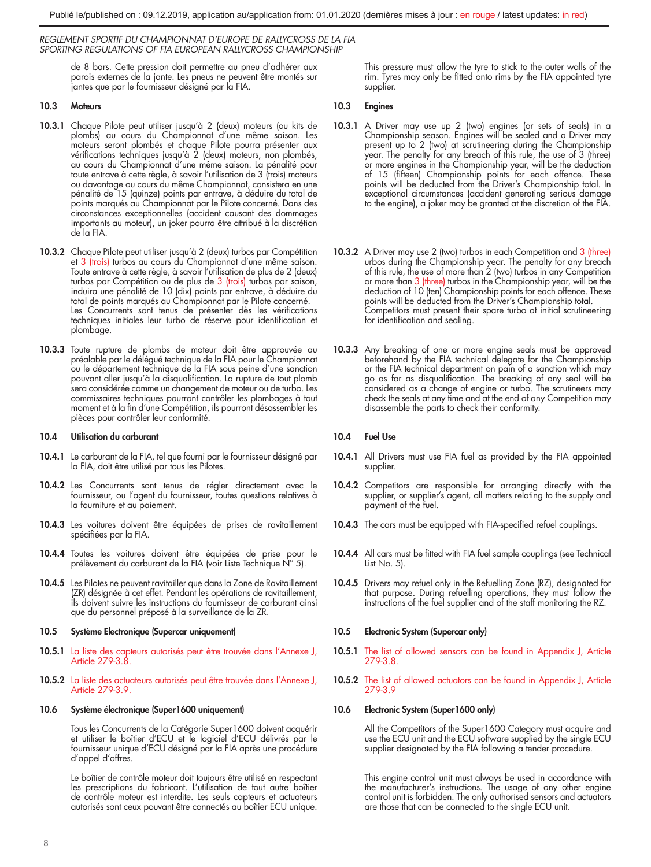de 8 bars. Cette pression doit permettre au pneu d'adhérer aux parois externes de la jante. Les pneus ne peuvent être montés sur jantes que par le fournisseur désigné par la FIA.

## 10.3 Moteurs

- 10.3.1 Chaque Pilote peut utiliser jusqu'à 2 (deux) moteurs (ou kits de plombs) au cours du Championnat d'une même saison. Les moteurs seront plombés et chaque Pilote pourra présenter aux vérifications techniques jusqu'à 2 (deux) moteurs, non plombés, au cours du Championnat d'une même saison. La pénalité pour toute entrave à cette règle, à savoir l'utilisation de 3 (trois) moteurs ou davantage au cours du même Championnat, consistera en une pénalité de 15 (quinze) points par entrave, à déduire du total de points marqués au Championnat par le Pilote concerné. Dans des circonstances exceptionnelles (accident causant des dommages importants au moteur), un joker pourra être attribué à la discrétion de la FIA.
- **10.3.2** Chaque Pilote peut utiliser jusqu'à 2 (deux) turbos par Compétition et-3 (trois) turbos au cours du Championnat d'une même saison. Toute entrave à cette règle, à savoir l'utilisation de plus de 2 (deux)<br>turbos par Compétition ou de plus de 3 (<mark>trois)</mark> turbos par saison,<br>induira une pénalité de 10 (dix) points par entrave, à déduire du total de points marqués au Championnat par le Pilote concerné. Les Concurrents sont tenus de présenter dès les vérifications techniques initiales leur turbo de réserve pour identification et plombage.
- 10.3.3 Toute rupture de plombs de moteur doit être approuvée au préalable par le délégué technique de la FIA pour le Championnat ou le département technique de la FIA sous peine d'une sanction pouvant aller jusqu'à la disqualification. La rupture de tout plomb sera considérée comme un changement de moteur ou de turbo. Les commissaires techniques pourront contrôler les plombages à tout moment et à la fin d'une Compétition, ils pourront désassembler les pièces pour contrôler leur conformité.

#### 10.4 Utilisation du carburant

- 10.4.1 Le carburant de la FIA, tel que fourni par le fournisseur désigné par la FIA, doit être utilisé par tous les Pilotes.
- 10.4.2 Les Concurrents sont tenus de régler directement avec le fournisseur, ou l'agent du fournisseur, toutes questions relatives à la fourniture et au paiement.
- 10.4.3 Les voitures doivent être équipées de prises de ravitaillement spécifiées par la FIA.
- 10.4.4 Toutes les voitures doivent être équipées de prise pour le prélèvement du carburant de la FIA (voir Liste Technique N° 5).
- 10.4.5 Les Pilotes ne peuvent ravitailler que dans la Zone de Ravitaillement (ZR) désignée à cet effet. Pendant les opérations de ravitaillement, ils doivent suivre les instructions du fournisseur de carburant ainsi que du personnel préposé à la surveillance de la ZR.

## 10.5 Système Electronique (Supercar uniquement)

- 10.5.1 La liste des capteurs autorisés peut être trouvée dans l'Annexe J, Article 279-3.8.
- 10.5.2 La liste des actuateurs autorisés peut être trouvée dans l'Annexe J, Article 279-3.9.

#### 10.6 Système électronique (Super1600 uniquement)

Tous les Concurrents de la Catégorie Super1600 doivent acquérir et utiliser le boîtier d'ECU et le logiciel d'ECU délivrés par le fournisseur unique d'ECU désigné par la FIA après une procédure d'appel d'offres.

Le boîtier de contrôle moteur doit toujours être utilisé en respectant les prescriptions du fabricant. L'utilisation de tout autre boîtier de contrôle moteur est interdite. Les seuls capteurs et actuateurs autorisés sont ceux pouvant être connectés au boîtier ECU unique.

This pressure must allow the tyre to stick to the outer walls of the rim. Tyres may only be fitted onto rims by the FIA appointed tyre supplier.

## 10.3 Engines

- 10.3.1 A Driver may use up 2 (two) engines (or sets of seals) in a Championship season. Engines will be sealed and a Driver may present up to 2 (two) at scrutineering during the Championship year. The penalty for any breach of this rule, the use of 3 (three) or more engines in the Championship year, will be the deduction of 15 (fifteen) Championship points for each offence. These points will be deducted from the Driver's Championship total. In exceptional circumstances (accident generating serious damage to the engine), a joker may be granted at the discretion of the FIA.
- **10.3.2** A Driver may use 2 (two) turbos in each Competition and 3 (three) urbos during the Championship year. The penalty for any breach of this rule, the use of more than 2 (two) turbos in any Competition or more than 3 points will be deducted from the Driver's Championship total. Competitors must present their spare turbo at initial scrutineering for identification and sealing.
- 10.3.3 Any breaking of one or more engine seals must be approved beforehand by the FIA technical delegate for the Championship or the FIA technical department on pain of a sanction which may go as far as disqualification. The breaking of any seal will be considered as a change of engine or turbo. The scrutineers may check the seals at any time and at the end of any Competition may disassemble the parts to check their conformity.

## 10.4 Fuel Use

- 10.4.1 All Drivers must use FIA fuel as provided by the FIA appointed supplier.
- 10.4.2 Competitors are responsible for arranging directly with the supplier, or supplier's agent, all matters relating to the supply and payment of the fuel.
- 10.4.3 The cars must be equipped with FIA-specified refuel couplings.
- 10.4.4 All cars must be fitted with FIA fuel sample couplings (see Technical List No. 5).
- 10.4.5 Drivers may refuel only in the Refuelling Zone (RZ), designated for that purpose. During refuelling operations, they must follow the instructions of the fuel supplier and of the staff monitoring the RZ.

## 10.5 Electronic System (Supercar only)

- 10.5.1 The list of allowed sensors can be found in Appendix J, Article 279-3.8.
- 10.5.2 The list of allowed actuators can be found in Appendix J, Article 279-3.9

## 10.6 Electronic System (Super1600 only)

All the Competitors of the Super1600 Category must acquire and use the ECU unit and the ECU software supplied by the single ECU supplier designated by the FIA following a tender procedure.

This engine control unit must always be used in accordance with the manufacturer's instructions. The usage of any other engine control unit is forbidden. The only authorised sensors and actuators are those that can be connected to the single ECU unit.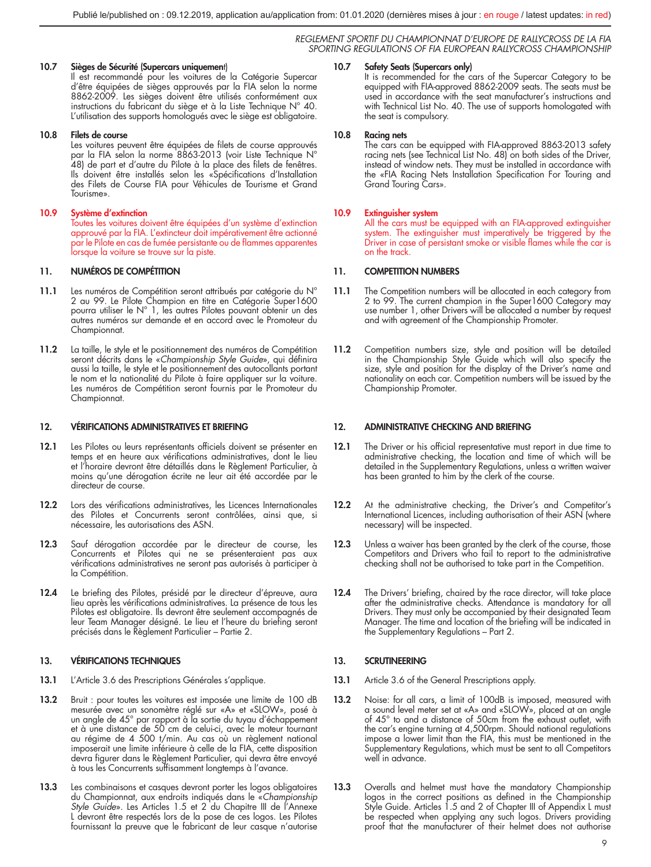## 10.7 Sièges de Sécurité (Supercars uniquement)

Il est recommandé pour les voitures de la Catégorie Supercar d'être équipées de sièges approuvés par la FIA selon la norme 8862-2009. Les sièges doivent être utilisés conformément aux instructions du fabricant du siège et à la Liste Technique N° 40. L'utilisation des supports homologués avec le siège est obligatoire.

#### 10.8 Filets de course

Les voitures peuvent être équipées de filets de course approuvés par la FIA selon la norme 8863-2013 (voir Liste Technique N° 48) de part et d'autre du Pilote à la place des filets de fenêtres. Ils doivent être installés selon les «Spécifications d'Installation des Filets de Course FIA pour Véhicules de Tourisme et Grand Tourisme».

## 10.9 Système d'extinction

Toutes les voitures doivent être équipées d'un système d'extinction approuvé par la FIA. L'extincteur doit impérativement être actionné par le Pilote en cas de fumée persistante ou de flammes apparentes lorsque la voiture se trouve sur la piste.

## 11. NUMÉROS DE COMPÉTITION

- 11.1 Les numéros de Compétition seront attribués par catégorie du N° 2 au 99. Le Pilote Champion en titre en Catégorie Super1600 pourra utiliser le N° 1, les autres Pilotes pouvant obtenir un des autres numéros sur demande et en accord avec le Promoteur du Championnat.
- 11.2 La taille, le style et le positionnement des numéros de Compétition seront décrits dans le «*Championship Style Guide*», qui définira aussi la taille, le style et le positionnement des autocollants portant le nom et la nationalité du Pilote à faire appliquer sur la voiture. Les numéros de Compétition seront fournis par le Promoteur du Championnat.

## 12. VÉRIFICATIONS ADMINISTRATIVES ET BRIEFING

- 12.1 Les Pilotes ou leurs représentants officiels doivent se présenter en temps et en heure aux vérifications administratives, dont le lieu et l'horaire devront être détaillés dans le Règlement Particulier, à moins qu'une dérogation écrite ne leur ait été accordée par le directeur de course.
- 12.2 Lors des vérifications administratives, les Licences Internationales des Pilotes et Concurrents seront contrôlées, ainsi que, si nécessaire, les autorisations des ASN.
- 12.3 Sauf dérogation accordée par le directeur de course, les Concurrents et Pilotes qui ne se présenteraient pas aux vérifications administratives ne seront pas autorisés à participer à la Compétition.
- 12.4 Le briefing des Pilotes, présidé par le directeur d'épreuve, aura lieu après les vérifications administratives. La présence de tous les Pilotes est obligatoire. Ils devront être seulement accompagnés de leur Team Manager désigné. Le lieu et l'heure du briefing seront précisés dans le Règlement Particulier – Partie 2.

## 13. VÉRIFICATIONS TECHNIQUES

- 13.1 L'Article 3.6 des Prescriptions Générales s'applique.
- 13.2 Bruit : pour toutes les voitures est imposée une limite de 100 dB mesurée avec un sonomètre réglé sur «A» et «SLOW», posé à un angle de 45° par rapport à la sortie du tuyau d'échappement et à une distance de 50 cm de celui-ci, avec le moteur tournant au régime de 4 500 t/min. Au cas où un règlement national imposerait une limite inférieure à celle de la FIA, cette disposition devra figurer dans le Règlement Particulier, qui devra être envoyé à tous les Concurrents suffisamment longtemps à l'avance.
- 13.3 Les combinaisons et casques devront porter les logos obligatoires du Championnat, aux endroits indiqués dans le «*Championship Style Guide*». Les Articles 1.5 et 2 du Chapitre III de l'Annexe L devront être respectés lors de la pose de ces logos. Les Pilotes fournissant la preuve que le fabricant de leur casque n'autorise

#### Safety Seats (Supercars only)

It is recommended for the cars of the Supercar Category to be equipped with FIA-approved 8862-2009 seats. The seats must be used in accordance with the seat manufacturer's instructions and with Technical List No. 40. The use of supports homologated with the seat is compulsory.

#### 10.8 Racing nets

The cars can be equipped with FIA-approved 8863-2013 safety racing nets (see Technical List No. 48) on both sides of the Driver, instead of window nets. They must be installed in accordance with the «FIA Racing Nets Installation Specification For Touring and Grand Touring Cars».

#### 10.9 Extinguisher system

All the cars must be equipped with an FIA-approved extinguisher system. The extinguisher must imperatively be triggered by the Driver in case of persistant smoke or visible flames while the car is on the track.

## 11. COMPETITION NUMBERS

- 11.1 The Competition numbers will be allocated in each category from 2 to 99. The current champion in the Super1600 Category may use number 1, other Drivers will be allocated a number by request and with agreement of the Championship Promoter.
- 11.2 Competition numbers size, style and position will be detailed in the Championship Style Guide which will also specify the size, style and position for the display of the Driver's name and nationality on each car. Competition numbers will be issued by the Championship Promoter.

## 12. ADMINISTRATIVE CHECKING AND BRIEFING

- 12.1 The Driver or his official representative must report in due time to administrative checking, the location and time of which will be detailed in the Supplementary Regulations, unless a written waiver has been granted to him by the clerk of the course.
- 12.2 At the administrative checking, the Driver's and Competitor's International Licences, including authorisation of their ASN (where necessary) will be inspected.
- 12.3 Unless a waiver has been granted by the clerk of the course, those Competitors and Drivers who fail to report to the administrative checking shall not be authorised to take part in the Competition.
- 12.4 The Drivers' briefing, chaired by the race director, will take place after the administrative checks. Attendance is mandatory for all Drivers. They must only be accompanied by their designated Team Manager. The time and location of the briefing will be indicated in the Supplementary Regulations – Part 2.

## 13. SCRUTINEERING

- 13.1 Article 3.6 of the General Prescriptions apply.
- 13.2 Noise: for all cars, a limit of 100dB is imposed, measured with<br>a sound level meter set at «A» and «SLOW», placed at an angle<br>of 45° to and a distance of 50cm from the exhaust outlet, with the car's engine turning at 4,500rpm. Should national regulations impose a lower limit than the FIA, this must be mentioned in the Supplementary Regulations, which must be sent to all Competitors well in advance.
- 13.3 Overalls and helmet must have the mandatory Championship<br>logos in the correct positions as defined in the Championship<br>Style Guide. Articles 1.5 and 2 of Chapter III of Appendix L must be respected when applying any such logos. Drivers providing proof that the manufacturer of their helmet does not authorise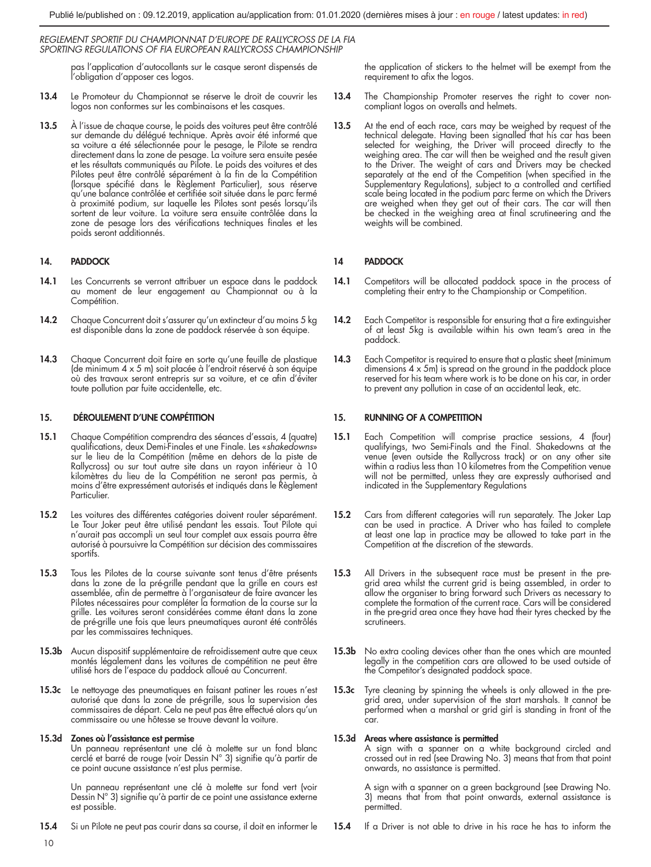pas l'application d'autocollants sur le casque seront dispensés de l'obligation d'apposer ces logos.

- 13.4 Le Promoteur du Championnat se réserve le droit de couvrir les logos non conformes sur les combinaisons et les casques.
- 13.5 À l'issue de chaque course, le poids des voitures peut être contrôlé sur demande du délégué technique. Après avoir été informé que sa voiture a été sélectionnée pour le pesage, le Pilote se rendra directement dans la zone de pesage. La voiture sera ensuite pesée et les résultats communiqués au Pilote. Le poids des voitures et des Pilotes peut être contrôlé séparément à la fin de la Compétition (lorsque spécifié dans le Règlement Particulier), sous réserve qu'une balance contrôlée et certifiée soit située dans le parc fermé à proximité podium, sur laquelle les Pilotes sont pesés lorsqu'ils sortent de leur voiture. La voiture sera ensuite contrôlée dans la zone de pesage lors des vérifications techniques finales et les poids seront additionnés.

## 14. PADDOCK

- 14.1 Les Concurrents se verront attribuer un espace dans le paddock au moment de leur engagement au Championnat ou à la Compétition.
- 14.2 Chaque Concurrent doit s'assurer qu'un extincteur d'au moins 5 kg est disponible dans la zone de paddock réservée à son équipe.
- 14.3 Chaque Concurrent doit faire en sorte qu'une feuille de plastique (de minimum 4 x 5 m) soit placée à l'endroit réservé à son équipe où des travaux seront entrepris sur sa voiture, et ce afin d'éviter toute pollution par fuite accidentelle, etc.

## 15. DÉROULEMENT D'UNE COMPÉTITION

- 15.1 Chaque Compétition comprendra des séances d'essais, 4 (quatre) qualifications, deux Demi-Finales et une Finale. Les «*shakedowns*» sur le lieu de la Compétition (même en dehors de la piste de Rallycross) ou sur tout autre site dans un rayon inférieur à 10 kilomètres du lieu de la Compétition ne seront pas permis, à moins d'être expressément autorisés et indiqués dans le Règlement **Particulier**
- 15.2 Les voitures des différentes catégories doivent rouler séparément. Le Tour Joker peut être utilisé pendant les essais. Tout Pilote qui n'aurait pas accompli un seul tour complet aux essais pourra être autorisé à poursuivre la Compétition sur décision des commissaires sportifs.
- 15.3 Tous les Pilotes de la course suivante sont tenus d'être présents dans la zone de la pré-grille pendant que la grille en cours est assemblée, afin de permettre à l'organisateur de faire avancer les Pilotes nécessaires pour compléter la formation de la course sur la grille. Les voitures seront considérées comme étant dans la zone de pré-grille une fois que leurs pneumatiques auront été contrôlés par les commissaires techniques.
- 15.3b Aucun dispositif supplémentaire de refroidissement autre que ceux montés légalement dans les voitures de compétition ne peut être utilisé hors de l'espace du paddock alloué au Concurrent.
- 15.3c Le nettoyage des pneumatiques en faisant patiner les roues n'est autorisé que dans la zone de pré-grille, sous la supervision des commissaires de départ. Cela ne peut pas être effectué alors qu'un commissaire ou une hôtesse se trouve devant la voiture.

## 15.3d Zones où l'assistance est permise

Un panneau représentant une clé à molette sur un fond blanc cerclé et barré de rouge (voir Dessin N° 3) signifie qu'à partir de ce point aucune assistance n'est plus permise.

Un panneau représentant une clé à molette sur fond vert (voir Dessin N° 3) signifie qu'à partir de ce point une assistance externe est possible.

15.4 Si un Pilote ne peut pas courir dans sa course, il doit en informer le

the application of stickers to the helmet will be exempt from the requirement to afix the logos.

- 13.4 The Championship Promoter reserves the right to cover noncompliant logos on overalls and helmets.
- 13.5 At the end of each race, cars may be weighed by request of the technical delegate. Having been signalled that his car has been<br>selected for weighing, the Driver will proceed directly to the<br>weighing area. The car will then be weighed and the result given<br>to the Driver. The weight of c Supplementary Regulations), subject to a controlled and certified scale being located in the podium parc ferme on which the Drivers are weighed when they get out of their cars. The car will then be checked in the weighing area at final scrutineering and the weights will be combined.

## 14 PADDOCK

- 14.1 Competitors will be allocated paddock space in the process of completing their entry to the Championship or Competition.
- 14.2 Each Competitor is responsible for ensuring that a fire extinguisher of at least 5kg is available within his own team's area in the paddock.
- 14.3 Each Competitor is required to ensure that a plastic sheet (minimum dimensions 4 x 5m) is spread on the ground in the paddock place reserved for his team where work is to be done on his car, in order to prevent any pollution in case of an accidental leak, etc.

## 15. RUNNING OF A COMPETITION

- 15.1 Each Competition will comprise practice sessions, 4 (four) qualifyings, two Semi-Finals and the Final. Shakedowns at the venue (even outside the Rallycross track) or on any other site within a radius less than 10 kilometres from the Competition venue will not be permitted, unless they are expressly authorised and indicated in the Supplementary Regulations
- 15.2 Cars from different categories will run separately. The Joker Lap can be used in practice. A Driver who has failed to complete at least one lap in practice may be allowed to take part in the Competition at the discretion of the stewards.
- 15.3 All Drivers in the subsequent race must be present in the pregrid area whilst the current grid is being assembled, in order to allow the organiser to bring forward such Drivers as necessary to complete the formation of the current race. Cars will be considered in the pre-grid area once they have had their tyres checked by the scrutineers.
- 15.3b No extra cooling devices other than the ones which are mounted legally in the competition cars are allowed to be used outside of the Competitor's designated paddock space.
- 15.3c Tyre cleaning by spinning the wheels is only allowed in the pregrid area, under supervision of the start marshals. It cannot be performed when a marshal or grid girl is standing in front of the car.

## 15.3d Areas where assistance is permitted

A sign with a spanner on a white background circled and crossed out in red (see Drawing No. 3) means that from that point onwards, no assistance is permitted.

A sign with a spanner on a green background (see Drawing No. 3) means that from that point onwards, external assistance is permitted.

15.4 If a Driver is not able to drive in his race he has to inform the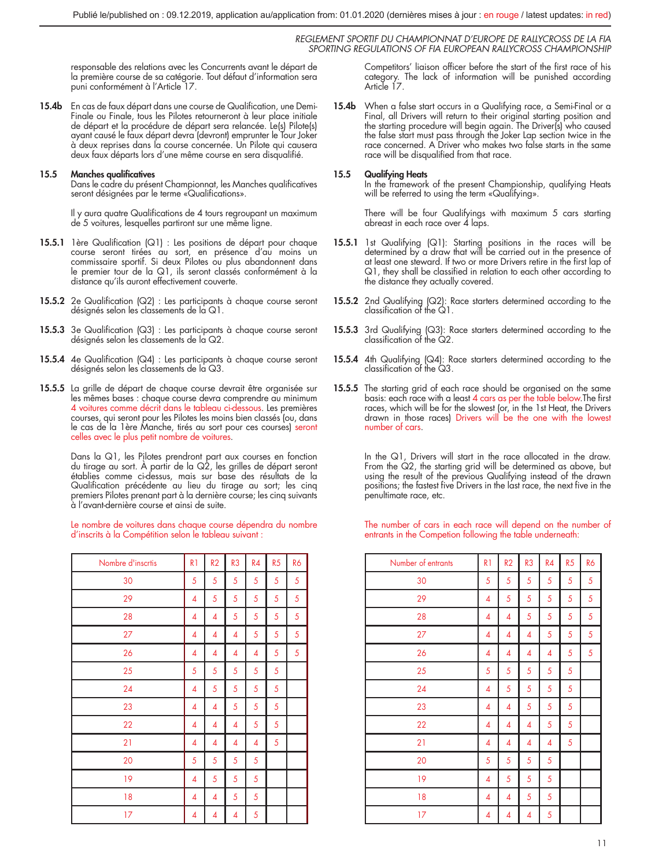responsable des relations avec les Concurrents avant le départ de la première course de sa catégorie. Tout défaut d'information sera puni conformément à l'Article 17.

15.4b En cas de faux départ dans une course de Qualification, une Demi-Finale ou Finale, tous les Pilotes retourneront à leur place initiale de départ et la procédure de départ sera relancée. Le(s) Pilote(s) ayant causé le faux départ devra (devront) emprunter le Tour Joker à deux reprises dans la course concernée. Un Pilote qui causera deux faux départs lors d'une même course en sera disqualifié.

## 15.5 Manches qualificatives

Dans le cadre du présent Championnat, les Manches qualificatives seront désignées par le terme «Qualifications».

Il y aura quatre Qualifications de 4 tours regroupant un maximum de 5 voitures, lesquelles partiront sur une même ligne.

- 15.5.1 1ère Qualification (Q1) : Les positions de départ pour chaque course seront tirées au sort, en présence d'au moins un commissaire sportif. Si deux Pilotes ou plus abandonnent dans le premier tour de la Q1, ils seront classés conformément à la distance qu'ils auront effectivement couverte.
- 15.5.2 2e Qualification (Q2) : Les participants à chaque course seront désignés selon les classements de la Q1.
- 15.5.3 3e Qualification (Q3) : Les participants à chaque course seront désignés selon les classements de la Q2.
- 15.5.4 4e Qualification (Q4) : Les participants à chaque course seront désignés selon les classements de la Q3.
- 15.5.5 La grille de départ de chaque course devrait être organisée sur les mêmes bases : chaque course devra comprendre au minimum 4 voitures comme décrit dans le tableau ci-dessous. Les premières courses, qui seront pour les Pilotes les moins bien classés (ou, dans le cas de la 1ère Manche, tirés au sort pour ces courses) seront celles avec le plus petit nombre de voitures.

Dans la Q1, les Pilotes prendront part aux courses en fonction du tirage au sort. À partir de la Q2, les grilles de départ seront établies comme ci-dessus, mais sur base des résultats de la Qualification précédente au lieu du tirage au sort; les cinq premiers Pilotes prenant part à la dernière course; les cinq suivants à l'avant-dernière course et ainsi de suite.

Le nombre de voitures dans chaque course dépendra du nombre d'inscrits à la Compétition selon le tableau suivant :

| Nombre d'inscrtis | R <sub>1</sub> | R <sub>2</sub> | R <sub>3</sub> | R <sub>4</sub> | R5 | R6 |
|-------------------|----------------|----------------|----------------|----------------|----|----|
| 30                | 5              | 5              | 5              | 5              | 5  | 5  |
| 29                | 4              | 5              | 5              | 5              | 5  | 5  |
| 28                | 4              | 4              | 5              | 5              | 5  | 5  |
| 27                | 4              | 4              | 4              | 5              | 5  | 5  |
| 26                | 4              | 4              | $\overline{4}$ | $\overline{4}$ | 5  | 5  |
| 25                | 5              | 5              | 5              | 5              | 5  |    |
| 24                | 4              | 5              | 5              | 5              | 5  |    |
| 23                | $\overline{4}$ | 4              | 5              | 5              | 5  |    |
| 22                | 4              | 4              | 4              | 5              | 5  |    |
| 21                | 4              | 4              | $\overline{4}$ | $\overline{4}$ | 5  |    |
| 20                | 5              | 5              | 5              | 5              |    |    |
| 19                | 4              | 5              | 5              | 5              |    |    |
| 18                | 4              | 4              | 5              | 5              |    |    |
| 17                | 4              | 4              | 4              | 5              |    |    |

Competitors' liaison officer before the start of the first race of his category. The lack of information will be punished according Article 17.

15.4b When a false start occurs in a Qualifying race, a Semi-Final or a Final, all Drivers will return to their original starting position and the starting procedure will begin again. The Driver(s) who caused the false start must pass through the Joker Lap section twice in the race concerned. A Driver who makes two false starts in the same race will be disqualified from that race.

#### 15.5 Qualifying Heats

In the framework of the present Championship, qualifying Heats will be referred to using the term «Qualifying».

There will be four Qualifyings with maximum 5 cars starting abreast in each race over  $\acute{4}$  laps.

- 15.5.1 1st Qualifying (Q1): Starting positions in the races will be determined by a draw that will be carried out in the presence of at least one steward. If two or more Drivers retire in the first lap of Q1, they shall be classified in relation to each other according to the distance they actually covered.
- **15.5.2** 2nd Qualitying (Q2): Race starters determined according to the classification of the Q1.
- 15.5.3 3rd Qualifying (Q3): Race starters determined according to the classification of the Q2.
- 15.5.4 4th Qualifying (Q4): Race starters determined according to the classification of the Q3.
- 15.5.5 The starting grid of each race should be organised on the same basis: each race with a least 4 cars as per the table below.The first races, which will be for the slowest (or, in the 1st Heat, the Drivers drawn in those races) Drivers will be the one with the lowest number of cars.

In the Q1, Drivers will start in the race allocated in the draw. From the  $Q2$ , the starting grid will be determined as above, but using the result of the previous Qualifying instead of the drawn positions; the fastest five Drivers in the last race, the next five in the penultimate race, etc.

The number of cars in each race will depend on the number of entrants in the Competion following the table underneath:

| Number of entrants | R1 | R <sub>2</sub> | R <sub>3</sub> | R4 | R <sub>5</sub> | R6 |
|--------------------|----|----------------|----------------|----|----------------|----|
| 30                 | 5  | 5              | 5              | 5  | 5              | 5  |
| 29                 | 4  | 5              | 5              | 5  | 5              | 5  |
| 28                 | 4  | 4              | 5              | 5  | 5              | 5  |
| 27                 | 4  | 4              | 4              | 5  | 5              | 5  |
| 26                 | 4  | 4              | 4              | 4  | 5              | 5  |
| 25                 | 5  | 5              | 5              | 5  | 5              |    |
| 24                 | 4  | 5              | 5              | 5  | 5              |    |
| 23                 | 4  | 4              | 5              | 5  | 5              |    |
| 22                 | 4  | 4              | 4              | 5  | 5              |    |
| 21                 | 4  | 4              | 4              | 4  | 5              |    |
| 20                 | 5  | 5              | 5              | 5  |                |    |
| 19                 | 4  | 5              | 5              | 5  |                |    |
| 18                 | 4  | 4              | 5              | 5  |                |    |
| 17                 | 4  | 4              | 4              | 5  |                |    |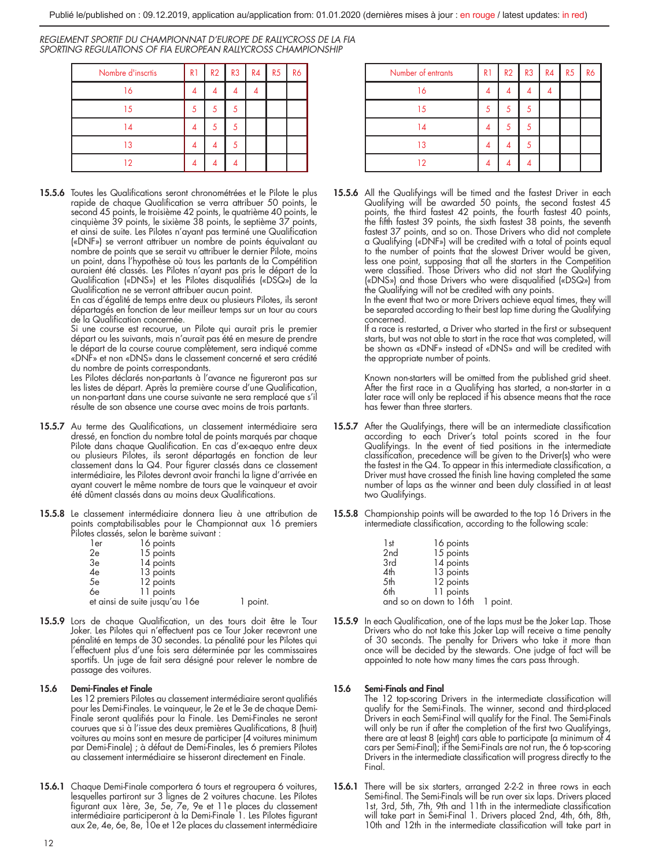| Nombre d'inscrtis | R <sub>1</sub> | R2 | R3 | R4 | R5 | R6 |
|-------------------|----------------|----|----|----|----|----|
| 16                |                |    |    |    |    |    |
| 15                |                |    |    |    |    |    |
| 14                |                |    |    |    |    |    |
| 13                |                |    |    |    |    |    |
| 12                |                |    |    |    |    |    |

15.5.6 Toutes les Qualifications seront chronométrées et le Pilote le plus rapide de chaque Qualification se verra attribuer 50 points, le second 45 points, le troisième 42 points, le quatrième 40 points, le cinquième 39 points, le sixième 38 points, le septième 37 points, et ainsi de suite. Les Pilotes n'ayant pas terminé une Qualification («DNF») se verront attribuer un nombre de points équivalant au nombre de points que se serait vu attribuer le dernier Pilote, moins un point, dans l'hypothèse où tous les partants de la Compétition auraient été classés. Les Pilotes n'ayant pas pris le départ de la Qualification («DNS») et les Pilotes disqualifiés («DSQ») de la Qualification ne se verront attribuer aucun point.

En cas d'égalité de temps entre deux ou plusieurs Pilotes, ils seront départagés en fonction de leur meilleur temps sur un tour au cours de la Qualification concernée.

Si une course est recourue, un Pilote qui aurait pris le premier départ ou les suivants, mais n'aurait pas été en mesure de prendre le départ de la course courue complètement, sera indiqué comme «DNF» et non «DNS» dans le classement concerné et sera crédité du nombre de points correspondants.

Les Pilotes déclarés non-partants à l'avance ne figureront pas sur les listes de départ. Après la première course d'une Qualification, un non-partant dans une course suivante ne sera remplacé que s'il résulte de son absence une course avec moins de trois partants.

- 15.5.7 Au terme des Qualifications, un classement intermédiaire sera dressé, en fonction du nombre total de points marqués par chaque Pilote dans chaque Qualification. En cas d'ex-aequo entre deux ou plusieurs Pilotes, ils seront départagés en fonction de leur classement dans la Q4. Pour figurer classés dans ce classement intermédiaire, les Pilotes devront avoir franchi la ligne d'arrivée en ayant couvert le même nombre de tours que le vainqueur et avoir été dûment classés dans au moins deux Qualifications.
- 15.5.8 Le classement intermédiaire donnera lieu à une attribution de points comptabilisables pour le Championnat aux 16 premiers Pilotes classés, selon le barème suivant :

| 1er | 16 points                      |
|-----|--------------------------------|
| 2e  | 15 points                      |
| 3e  | 14 points                      |
| 4e  | 13 points                      |
| 5e  | 12 points                      |
| 6e  | 11 points                      |
|     | et ainsi de suite jusqu'au 16e |

15.5.9 Lors de chaque Qualification, un des tours doit être le Tour Joker. Les Pilotes qui n'effectuent pas ce Tour Joker recevront une pénalité en temps de 30 secondes. La pénalité pour les Pilotes qui l'effectuent plus d'une fois sera déterminée par les commissaires sportifs. Un juge de fait sera désigné pour relever le nombre de passage des voitures.

1 point.

## 15.6 Demi-Finales et Finale

Les 12 premiers Pilotes au classement intermédiaire seront qualifiés pour les Demi-Finales. Le vainqueur, le 2e et le 3e de chaque Demi-Finale seront qualifiés pour la Finale. Les Demi-Finales ne seront courues que si à l'issue des deux premières Qualifications, 8 (huit) voitures au moins sont en mesure de participer (4 voitures minimum par Demi-Finale) ; à défaut de Demi-Finales, les 6 premiers Pilotes au classement intermédiaire se hisseront directement en Finale.

15.6.1 Chaque Demi-Finale comportera 6 tours et regroupera 6 voitures, lesquelles partiront sur 3 lignes de 2 voitures chacune. Les Pilotes figurant aux 1ère, 3e, 5e, 7e, 9e et 11e places du classement<br>intermédiaire participeront à la Demi-Finale 1. Les Pilotes figurant<br>aux 2e, 4e, 6e, 8e, 10e et 12e places du classement intermédiaire

| Number of entrants | R <sub>1</sub> | R2 | R3 R4<br>ı | R5 | R6 |
|--------------------|----------------|----|------------|----|----|
| 16                 |                |    |            |    |    |
| 15                 |                |    |            |    |    |
| 14                 |                |    |            |    |    |
| 13                 |                |    |            |    |    |
| 2                  |                |    |            |    |    |

15.5.6 All the Qualifyings will be timed and the fastest Driver in each Qualifying will be awarded 50 points, the second fastest 45 points, the third fastest 42 points, the fourth fastest 40 points, the fifth fastest 39 points, the sixth fastest 38 points, the seventh fastest 37 points, and so on. Those Drivers who did not complete a Qualifying («DNF») will be credited with a total of points equal to the number of points that the slowest Driver would be given, less one point, supposing that all the starters in the Competition were classified. Those Drivers who did not start the Qualifying («DNS») and those Drivers who were disqualified («DSQ») from the Qualifying will not be credited with any points.

In the event that two or more Drivers achieve equal times, they will be separated according to their best lap time during the Qualifying concerned.

If a race is restarted, a Driver who started in the first or subsequent starts, but was not able to start in the race that was completed, will be shown as «DNF» instead of «DNS» and will be credited with the appropriate number of points.

Known non-starters will be omitted from the published grid sheet. After the first race in a Qualifying has started, a non-starter in a later race will only be replaced if his absence means that the race has fewer than three starters.

- 15.5.7 After the Qualifyings, there will be an intermediate classification according to each Driver's total points scored in the four Qualifyings. In the event of tied positions in the intermediate classification, precedence will be given to the Driver(s) who were the fastest in the Q4. To appear in this intermediate classification, a Driver must have crossed the finish line having completed the same number of laps as the winner and been duly classified in at least two Qualifyings.
- 15.5.8 Championship points will be awarded to the top 16 Drivers in the intermediate classification, according to the following scale:

| 1st                             | 16 points |  |
|---------------------------------|-----------|--|
| 2 <sub>nd</sub>                 | 15 points |  |
| 3rd                             | 14 points |  |
| 4th                             | 13 points |  |
| 5th                             | 12 points |  |
| 6th                             | 11 points |  |
| and so on down to 16th 1 point. |           |  |

15.5.9 In each Qualification, one of the laps must be the Joker Lap. Those Drivers who do not take this Joker Lap will receive a time penalty of 30 seconds. The penalty for Drivers who take it more than once will be decided by the stewards. One judge of fact will be appointed to note how many times the cars pass through.

## 15.6 Semi-Finals and Final

The 12 top-scoring Drivers in the intermediate classification will qualify for the Semi-Finals. The winner, second and third-placed Drivers in each Semi-Final will qualify for the Final. The Semi-Finals will only be run if after the completion of the first two Qualifyings,<br>there are at least 8 (eight) cars able to participate (a minimum of 4 cars per Semi-Final); if the Semi-Finals are not run, the 6 top-scoring Drivers in the intermediate classification will progress directly to the Final.

15.6.1 There will be six starters, arranged 2-2-2 in three rows in each Semi-final. The Semi-Finals will be run over six laps. Drivers placed 1st, 3rd, 5th, 7th, 9th and 11th in the intermediate classification will take part in Semi-Final 1. Drivers placed 2nd, 4th, 6th, 8th, 10th and 12th in the intermediate classification will take part in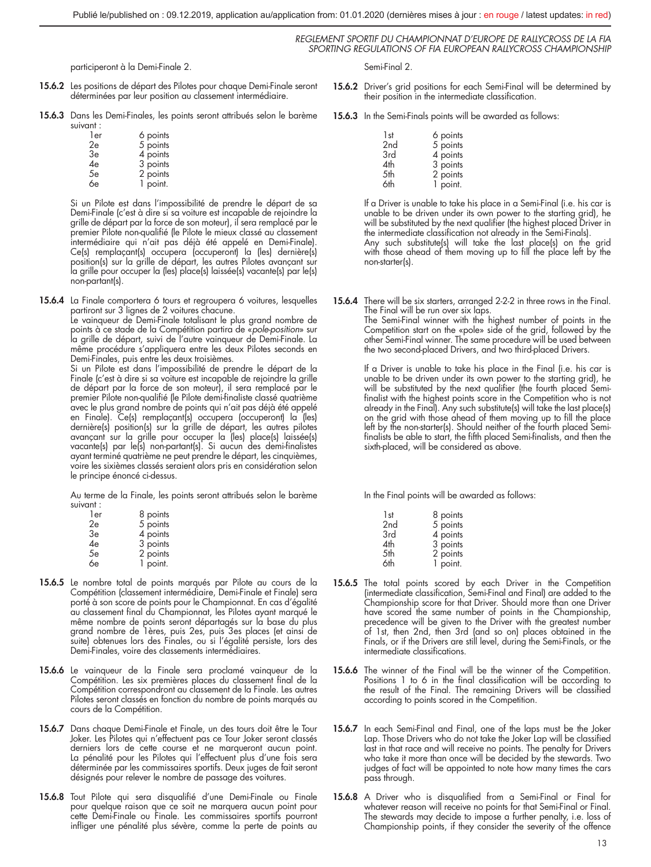participeront à la Demi-Finale 2.

- 15.6.2 Les positions de départ des Pilotes pour chaque Demi-Finale seront déterminées par leur position au classement intermédiaire.
- 15.6.3 Dans les Demi-Finales, les points seront attribués selon le barème suivant :

| 1er | 6 points |
|-----|----------|
| 2e  | 5 points |
| 3e  | 4 points |
| 4e  | 3 points |
| 5e  | 2 points |
| 6e  | 1 point. |
|     |          |

Si un Pilote est dans l'impossibilité de prendre le départ de sa Demi-Finale (c'est à dire si sa voiture est incapable de rejoindre la grille de départ par la force de son moteur), il sera remplacé par le premier Pilote non-qualifié (le Pilote le mieux classé au classement intermédiaire qui n'ait pas déjà été appelé en Demi-Finale). Ce(s) remplaçant(s) occupera (occuperont) la (les) dernière(s)<br>position(s) sur la grille de départ, les autres Pilotes avançant sur<br>la grille pour occuper la (les) place(s) laissée(s) vacante(s) par le(s) non-partant(s).

15.6.4 La Finale comportera 6 tours et regroupera 6 voitures, lesquelles partiront sur 3 lignes de 2 voitures chacune.

Le vainqueur de Demi-Finale totalisant le plus grand nombre de points à ce stade de la Compétition partira de «*pole-position*» sur la grille de départ, suivi de l'autre vainqueur de Demi-Finale. La même procédure s'appliquera entre les deux Pilotes seconds en Demi-Finales, puis entre les deux troisièmes.

Si un Pilote est dans l'impossibilité de prendre le départ de la Finale (c'est à dire si sa voiture est incapable de rejoindre la grille de départ par la force de son moteur), il sera remplacé par le premier Pilote non-qualifié (le Pilote demi-finaliste classé quatrième avec le plus grand nombre de points qui n'ait pas déjà été appelé en Finale). Ce(s) remplaçant(s) occupera (occuperont) la (les) dernière(s) position(s) sur la grille de départ, les autres pilotes avançant sur la grille pour occuper la (les) place(s) laissée(s) vacante(s) par le(s) non-partant(s). Si aucun des demi-finalistes ayant terminé quatrième ne peut prendre le départ, les cinquièmes, voire les sixièmes classés seraient alors pris en considération selon le principe énoncé ci-dessus.

Au terme de la Finale, les points seront attribués selon le barème suivant :

| 1er | 8 points |
|-----|----------|
| 2e  | 5 points |
| 3e  | 4 points |
| 4e  | 3 points |
| 5e  | 2 points |
| 6e  | 1 point. |

- 15.6.5 Le nombre total de points marqués par Pilote au cours de la Compétition (classement intermédiaire, Demi-Finale et Finale) sera porté à son score de points pour le Championnat. En cas d'égalité au classement final du Championnat, les Pilotes ayant marqué le même nombre de points seront départagés sur la base du plus grand nombre de 1ères, puis 2es, puis 3es places (et ainsi de suite) obtenues lors des Finales, ou si l'égalité persiste, lors des Demi-Finales, voire des classements intermédiaires.
- 15.6.6 Le vainqueur de la Finale sera proclamé vainqueur de la Compétition. Les six premières places du classement final de la Compétition correspondront au classement de la Finale. Les autres Pilotes seront classés en fonction du nombre de points marqués au cours de la Compétition.
- 15.6.7 Dans chaque Demi-Finale et Finale, un des tours doit être le Tour Joker. Les Pilotes qui n'effectuent pas ce Tour Joker seront classés derniers lors de cette course et ne marqueront aucun point. La pénalité pour les Pilotes qui l'effectuent plus d'une fois sera déterminée par les commissaires sportifs. Deux juges de fait seront désignés pour relever le nombre de passage des voitures.
- 15.6.8 Tout Pilote qui sera disqualifié d'une Demi-Finale ou Finale pour quelque raison que ce soit ne marquera aucun point pour cette Demi-Finale ou Finale. Les commissaires sportifs pourront infliger une pénalité plus sévère, comme la perte de points au

Semi-Final 2.

- 15.6.2 Driver's arid positions for each Semi-Final will be determined by their position in the intermediate classification.
- 15.6.3 In the Semi-Finals points will be awarded as follows:

| 1st             | 6 points |
|-----------------|----------|
| 2 <sub>nd</sub> | 5 points |
| 3rd             | 4 points |
| 4th             | 3 points |
| 5th             | 2 points |
| 6th             | 1 point. |

If a Driver is unable to take his place in a Semi-Final (i.e. his car is unable to be driven under its own power to the starting grid), he will be substituted by the next qualifier (the highest placed Driver in the intermediate classification not already in the Semi-Finals).

Any such substitute(s) will take the last place(s) on the grid with those ahead of them moving up to fill the place left by the non-starter(s).

15.6.4 There will be six starters, arranged 2-2-2 in three rows in the Final. The Final will be run over six laps.

The Semi-Final winner with the highest number of points in the Competition start on the «pole» side of the grid, followed by the other Semi-Final winner. The same procedure will be used between the two second-placed Drivers, and two third-placed Drivers.

If a Driver is unable to take his place in the Final (i.e. his car is unable to be driven under its own power to the starting grid), he will be substituted by the next qualifier (the fourth placed Semifinalist with the highest points score in the Competition who is not already in the Final). Any such substitute(s) will take the last place(s) on the grid with those ahead of them moving up to fill the place left by the non-starter(s). Should neither of the fourth placed Semifinalists be able to start, the fifth placed Semi-finalists, and then the sixth-placed, will be considered as above.

In the Final points will be awarded as follows:

| 1st             | 8 points |
|-----------------|----------|
| 2 <sub>nd</sub> | 5 points |
| 3rd             | 4 points |
| 4th             | 3 points |
| 5th             | 2 points |
| 6th             | 1 point. |
|                 |          |

- 15.6.5 The total points scored by each Driver in the Competition (intermediate classification, Semi-Final and Final) are added to the Championship score for that Driver. Should more than one Driver have scored the same number of points in the Championship, precedence will be given to the Driver with the greatest number of 1st, then 2nd, then 3rd (and so on) places obtained in the Finals, or if the Drivers are still level, during the Semi-Finals, or the intermediate classifications.
- 15.6.6 The winner of the Final will be the winner of the Competition. Positions 1 to 6 in the final classification will be according to the result of the Final. The remaining Drivers will be classified according to points scored in the Competition.
- 15.6.7 In each Semi-Final and Final, one of the laps must be the Joker Lap. Those Drivers who do not take the Joker Lap will be classified last in that race and will receive no points. The penalty for Drivers who take it more than once will be decided by the stewards. Two judges of fact will be appointed to note how many times the cars pass through.
- 15.6.8 A Driver who is disqualified from a Semi-Final or Final for whatever reason will receive no points for that Semi-Final or Final. The stewards may decide to impose a further penalty, i.e. loss of Championship points, if they consider the severity of the offence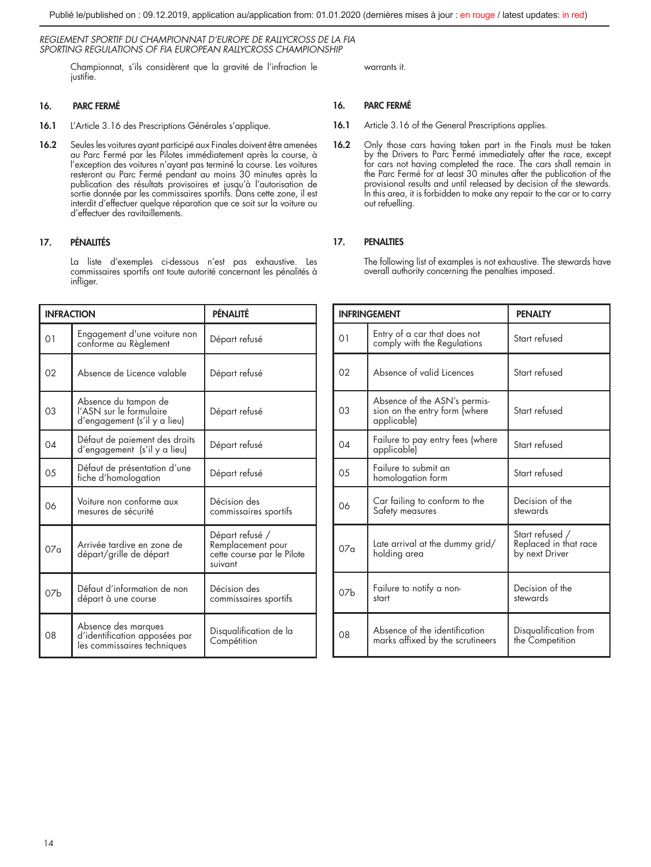Championnat, s'ils considèrent que la gravité de l'infraction le justifie.

## 16. PARC FERMÉ

- 16.1 L'Article 3.16 des Prescriptions Générales s'applique.
- 16.2 Seules les voitures ayant participé aux Finales doivent être amenées au Parc Fermé par les Pilotes immédiatement après la course, à l'exception des voitures n'ayant pas terminé la course. Les voitures resteront au Parc Fermé pendant au moins 30 minutes après la publication des résultats provisoires et jusqu'à l'autorisation de sortie donnée par les commissaires sportifs. Dans cette zone, il est interdit d'effectuer quelque réparation que ce soit sur la voiture ou d'effectuer des ravitaillements.

## 17. PÉNALITÉS

La liste d'exemples ci-dessous n'est pas exhaustive. Les commissaires sportifs ont toute autorité concernant les pénalités à infliger.

| <b>INFRACTION</b> |                                                                                     | PÉNALITÉ                                                                      |
|-------------------|-------------------------------------------------------------------------------------|-------------------------------------------------------------------------------|
| 01                | Engagement d'une voiture non<br>conforme au Règlement                               | Départ refusé                                                                 |
| 02                | Absence de Licence valable                                                          | Départ refusé                                                                 |
| 03                | Absence du tampon de<br>l'ASN sur le formulaire<br>d'engagement (s'il y a lieu)     | Départ refusé                                                                 |
| 04                | Détaut de paiement des droits<br>d'engagement (s'il y a lieu)                       | Départ refusé                                                                 |
| 0 <sub>5</sub>    | Défaut de présentation d'une<br>fiche d'homologation                                | Départ refusé                                                                 |
| 06                | Voiture non conforme aux<br>mesures de sécurité                                     | Décision des<br>commissaires sportifs                                         |
| 07 <sub>a</sub>   | Arrivée tardive en zone de<br>départ/grille de départ                               | Départ refusé /<br>Remplacement pour<br>cette course par le Pilote<br>suivant |
| 07 <sub>b</sub>   | Défaut d'information de non<br>départ à une course                                  | Décision des<br>commissaires sportifs                                         |
| 08                | Absence des marques<br>d'identification apposées par<br>les commissaires techniques | Disqualification de la<br>Compétition                                         |

warrants it.

## 16. PARC FERMÉ

- 16.1 Article 3.16 of the General Prescriptions applies.
- 16.2 Only those cars having taken part in the Finals must be taken by the Drivers to Parc Fermé immediately after the race, except for cars not having completed the race. The cars shall remain in the Parc Fermé for at least 30 minutes after the publication of the provisional results and until released by decision of the stewards. In this area, it is forbidden to make any repair to the car or to carry out refuelling.

## 17. PENALTIES

The following list of examples is not exhaustive. The stewards have overall authority concerning the penalties imposed.

|                 | <b>INFRINGEMENT</b>                                                          | <b>PENALTY</b>                                             |
|-----------------|------------------------------------------------------------------------------|------------------------------------------------------------|
| 01              | Entry of a car that does not<br>comply with the Regulations                  | Start refused                                              |
| 02              | Absence of valid Licences                                                    | Start refused                                              |
| 0.3             | Absence of the ASN's permis-<br>sion on the entry form (where<br>applicable) | Start refused                                              |
| $0\Delta$       | Failure to pay entry fees (where<br>applicable)                              | Start refused                                              |
| 0.5             | Failure to submit an<br>homologation form                                    | Start refused                                              |
| 06              | Car failing to conform to the<br>Safety measures                             | Decision of the<br>stewards                                |
| 07 <sub>0</sub> | Late arrival at the dummy grid/<br>holding area                              | Start refused /<br>Replaced in that race<br>by next Driver |
| 07 <sub>h</sub> | Failure to notify a non-<br>start                                            | Decision of the<br>stewards                                |
| 08              | Absence of the identification<br>marks affixed by the scrutineers            | Disqualification from<br>the Competition                   |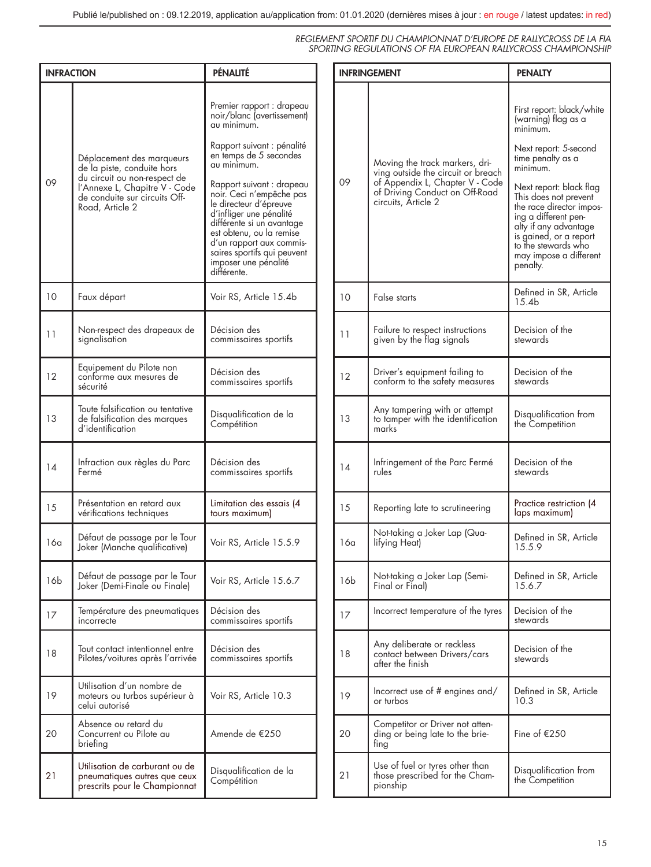| <b>INFRACTION</b> |                                                                                                                                                                              | PÉNALITÉ                                                                                                                                                                                                                                                                                                                                                                                                               |
|-------------------|------------------------------------------------------------------------------------------------------------------------------------------------------------------------------|------------------------------------------------------------------------------------------------------------------------------------------------------------------------------------------------------------------------------------------------------------------------------------------------------------------------------------------------------------------------------------------------------------------------|
| 09                | Déplacement des marqueurs<br>de la piste, conduite hors<br>du circuit ou non-respect de<br>l'Annexe L, Chapitre V - Code<br>de conduite sur circuits Off-<br>Road, Article 2 | Premier rapport : drapeau<br>noir/blanc (avertissement)<br>au minimum.<br>Rapport suivant : pénalité<br>en temps de 5 secondes<br>au minimum.<br>Rapport suivant : drapeau<br>noir. Ceci n'empêche pas<br>le directeur d'épreuve<br>d'intliger une pénalité<br>différente si un avantage<br>est obtenu, ou la remise<br>d'un rapport aux commis-<br>saires sportifs qui peuvent<br>imposer une pénalité<br>différente. |
| 10                | Faux départ                                                                                                                                                                  | Voir RS, Article 15.4b                                                                                                                                                                                                                                                                                                                                                                                                 |
| 11                | Non-respect des drapeaux de<br>signalisation                                                                                                                                 | Décision des<br>commissaires sportits                                                                                                                                                                                                                                                                                                                                                                                  |
| 12                | Equipement du Pilote non<br>conforme aux mesures de<br>sécurité                                                                                                              | Décision des<br>commissaires sportifs                                                                                                                                                                                                                                                                                                                                                                                  |
| 13                | Toute talsitication ou tentative<br>de falsification des marques<br>d'identification                                                                                         | Disqualification de la<br>Compétition                                                                                                                                                                                                                                                                                                                                                                                  |
| 14                | Intraction aux règles du Parc<br>Fermé                                                                                                                                       | Décision des<br>commissaires sportits                                                                                                                                                                                                                                                                                                                                                                                  |
| 15                | Présentation en retard aux<br>véritications techniques                                                                                                                       | Limitation des essais (4<br>tours maximum)                                                                                                                                                                                                                                                                                                                                                                             |
| 16a               | Défaut de passage par le Tour<br>Joker (Manche qualificative)                                                                                                                | Voir RS, Article 15.5.9                                                                                                                                                                                                                                                                                                                                                                                                |
| 16b               | Détaut de passage par le Tour<br>Joker (Demi-Finale ou Finale)                                                                                                               | Voir RS, Article 15.6.7                                                                                                                                                                                                                                                                                                                                                                                                |
| 17                | Température des pneumatiques<br>incorrecte                                                                                                                                   | Décision des<br>commissaires sportits                                                                                                                                                                                                                                                                                                                                                                                  |
| 18                | Tout contact intentionnel entre<br>Pilotes/voitures après l'arrivée                                                                                                          | Décision des<br>commissaires sportifs                                                                                                                                                                                                                                                                                                                                                                                  |
| 19                | Utilisation d'un nombre de<br>moteurs ou turbos supérieur à<br>celui autorisé                                                                                                | Voir RS, Article 10.3                                                                                                                                                                                                                                                                                                                                                                                                  |
| 20                | Absence ou retard du<br>Concurrent ou Pilote au<br>briefing                                                                                                                  | Amende de €250                                                                                                                                                                                                                                                                                                                                                                                                         |
| 21                | Utilisation de carburant ou de<br>pneumatiques autres que ceux<br>prescrits pour le Championnat                                                                              | Disqualification de la<br>Compétition                                                                                                                                                                                                                                                                                                                                                                                  |

| <b>INFRINGEMENT</b> |                                                                                                                                                                  | <b>PENALTY</b>                                                                                                                                                                                                                                                                                                                                 |
|---------------------|------------------------------------------------------------------------------------------------------------------------------------------------------------------|------------------------------------------------------------------------------------------------------------------------------------------------------------------------------------------------------------------------------------------------------------------------------------------------------------------------------------------------|
| 09                  | Moving the track markers, dri-<br>ving outside the circuit or breach<br>of Appendix L, Chapter V - Code<br>of Driving Conduct on Off-Road<br>circuits, Article 2 | First report: black/white<br>(warning) flag as a<br>minimum.<br>Next report: 5-second<br>time penalty as a<br>minimum.<br>Next report: black flag<br>This does not prevent<br>the race director impos-<br>ing a different pen-<br>alty it any advantage<br>is gained, or a report<br>to the stewards who<br>may impose a different<br>penalty. |
| 10                  | False starts                                                                                                                                                     | Defined in SR, Article<br>15.4b                                                                                                                                                                                                                                                                                                                |
| 11                  | Failure to respect instructions<br>given by the flag signals                                                                                                     | Decision of the<br>stewards                                                                                                                                                                                                                                                                                                                    |
| 12                  | Driver's equipment failing to<br>conform to the safety measures                                                                                                  | Decision of the<br>stewards                                                                                                                                                                                                                                                                                                                    |
| 13                  | Any tampering with or attempt<br>to famper with the identification<br>marks                                                                                      | Disqualification from<br>the Competition                                                                                                                                                                                                                                                                                                       |
| 14                  | Infringement of the Parc Fermé<br>rules                                                                                                                          | Decision of the<br>stewards                                                                                                                                                                                                                                                                                                                    |
| 15                  | Reporting late to scrutineering                                                                                                                                  | Practice restriction (4<br>laps maximum)                                                                                                                                                                                                                                                                                                       |
| 16a                 | Not-taking a Joker Lap (Qua-<br>lifying Heat)                                                                                                                    | Defined in SR, Article<br>15.5.9                                                                                                                                                                                                                                                                                                               |
| 16b                 | Not-taking a Joker Lap (Semi-<br>Final or Final)                                                                                                                 | Defined in SR, Article<br>15.6.7                                                                                                                                                                                                                                                                                                               |
| 17                  | Incorrect temperature of the tyres                                                                                                                               | Decision of the<br>stewards                                                                                                                                                                                                                                                                                                                    |
| 18                  | Any deliberate or reckless<br>contact between Drivers/cars<br>after the finish                                                                                   | Decision of the<br>stewards                                                                                                                                                                                                                                                                                                                    |
| 19                  | Incorrect use of # engines and/<br>or turbos                                                                                                                     | Defined in SR, Article<br>10.3                                                                                                                                                                                                                                                                                                                 |
| 20                  | Competitor or Driver not atten-<br>ding or being late to the brie-<br>ting                                                                                       | Fine of €250                                                                                                                                                                                                                                                                                                                                   |
| 21                  | Use of fuel or tyres other than<br>those prescribed for the Cham-<br>pionship                                                                                    | Disqualification from<br>the Competition                                                                                                                                                                                                                                                                                                       |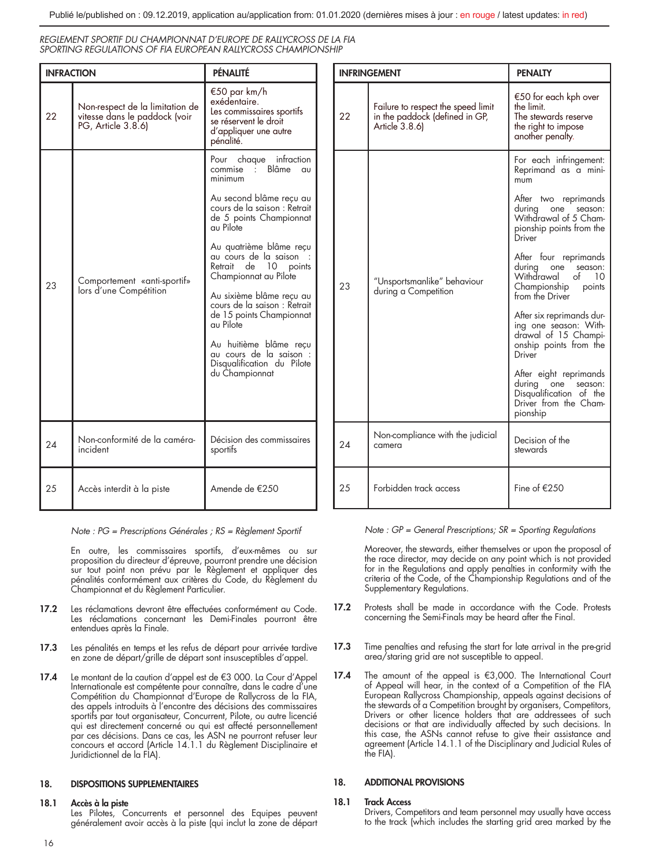| <b>INFRACTION</b> |                                                                                        | PÉNALITÉ                                                                                                                                                                                                                                                                                                                                                                                                   |
|-------------------|----------------------------------------------------------------------------------------|------------------------------------------------------------------------------------------------------------------------------------------------------------------------------------------------------------------------------------------------------------------------------------------------------------------------------------------------------------------------------------------------------------|
| 22                | Non-respect de la limitation de<br>vitesse dans le paddock (voir<br>PG, Article 3.8.6) | €50 par km/h<br>exédentaire.<br>Les commissaires sportifs<br>se réservent le droit<br>d'appliquer une autre<br>pénalité.                                                                                                                                                                                                                                                                                   |
| 23                | Comportement «anti-sportif»<br>lors d'une Compétition                                  | Pour chaque infraction<br>. Blâme<br>commise<br>$\alpha$<br>minimum<br>Au second blâme recu au<br>cours de la saison : Retrait<br>de 5 points Championnat<br>au Pilote<br>Au quatrième blâme reçu<br>au cours de la saison<br>Retrait de 10 points<br>Championnat au Pilote<br>Au sixième blâme reçu au<br>cours de la saison : Retrait<br>de 15 points Championnat<br>au Pilote<br>Au huitième blâme recu |
|                   |                                                                                        | au cours de la saison :<br>Disqualification du Pilote<br>du Championnat                                                                                                                                                                                                                                                                                                                                    |
| 24                | Non-conformité de la caméra-<br>incident                                               | Décision des commissaires<br>sportifs                                                                                                                                                                                                                                                                                                                                                                      |
| 25                | Accès interdit à la piste                                                              | Amende de €250                                                                                                                                                                                                                                                                                                                                                                                             |

*Note : PG = Prescriptions Générales ; RS = Règlement Sportif*

En outre, les commissaires sportifs, d'eux-mêmes ou sur proposition du directeur d'épreuve, pourront prendre une décision sur tout point non prévu par le Règlement et appliquer des pénalités conformément aux critères du Code, du Règlement du Championnat et du Règlement Particulier.

- 17.2 Les réclamations devront être effectuées conformément au Code. Les réclamations concernant les Demi-Finales pourront être entendues après la Finale.
- 17.3 Les pénalités en temps et les refus de départ pour arrivée tardive en zone de départ/grille de départ sont insusceptibles d'appel.
- 17.4 Le montant de la caution d'appel est de €3 000. La Cour d'Appel Internationale est compétente pour connaître, dans le cadre d'une Compétition du Championnat d'Europe de Rallycross de la FIA, des appels introduits à l'encontre des décisions des commissaires sportifs par tout organisateur, Concurrent, Pilote, ou autre licencié qui est directement concerné ou qui est affecté personnellement par ces décisions. Dans ce cas, les ASN ne pourront refuser leur concours et accord (Article 14.1.1 du Règlement Disciplinaire et Juridictionnel de la FIA).

## 18. DISPOSITIONS SUPPLEMENTAIRES

## 18.1 Accès à la piste

Les Pilotes, Concurrents et personnel des Equipes peuvent généralement avoir accès à la piste (qui inclut la zone de départ

| <b>INFRINGEMENT</b> |                                                                                        | <b>PENALTY</b>                                                                                                           |
|---------------------|----------------------------------------------------------------------------------------|--------------------------------------------------------------------------------------------------------------------------|
| 22                  | Failure to respect the speed limit<br>in the paddock (defined in GP,<br>Article 3.8.6) | €50 for each kph over<br>the limit.<br>The stewards reserve<br>the right to impose<br>another penalty.                   |
|                     | "Unsportsmanlike" behaviour<br>23<br>during a Competition                              | For each infringement:<br>Reprimand as a mini-<br>mum                                                                    |
|                     |                                                                                        | After two reprimands<br>during<br>season:<br>one<br>Withdrawal of 5 Cham-<br>pionship points from the<br>Driver          |
|                     |                                                                                        | After four reprimands<br>during<br>season:<br>one<br>Withdrawal<br>of<br>10<br>Championship<br>points<br>from the Driver |
|                     |                                                                                        | After six reprimands dur-<br>ing one season: With-<br>drawal of 15 Champi-<br>onship points from the<br>Driver           |
|                     |                                                                                        | After eight reprimands<br>during one season:<br>Disqualification of the<br>Driver from the Cham-<br>pionship             |
| 24                  | Non-compliance with the judicial<br>camera                                             | Decision of the<br>stewards                                                                                              |
| 25                  | Forbidden track access                                                                 | Fine of $E$ 250                                                                                                          |

*Note : GP = General Prescriptions; SR = Sporting Regulations*

Moreover, the stewards, either themselves or upon the proposal of the race director, may decide on any point which is not provided for in the Regulations and apply penalties in conformity with the criteria of the Code, of the Championship Regulations and of the Supplementary Regulations.

- 17.2 Protests shall be made in accordance with the Code. Protests concerning the Semi-Finals may be heard after the Final.
- 17.3 Time penalties and refusing the start for late arrival in the pre-grid area/staring grid are not susceptible to appeal.
- 17.4 The amount of the appeal is €3,000. The International Court of Appeal will hear, in the context of a Competition of the FIA European Rallycross Championship, appeals against decisions of the stewards of a Competition brought by organisers, Competitors, Drivers or other licence holders that are addressees of such decisions or that are individually affected by such decisions. In this case, the ASNs cannot refuse to give their assistance and agreement (Article 14.1.1 of the Disciplinary and Judicial Rules of  $th$  $\approx$  FIA).

## 18. ADDITIONAL PROVISIONS

## 18.1 Track Access

Drivers, Competitors and team personnel may usually have access to the track (which includes the starting grid area marked by the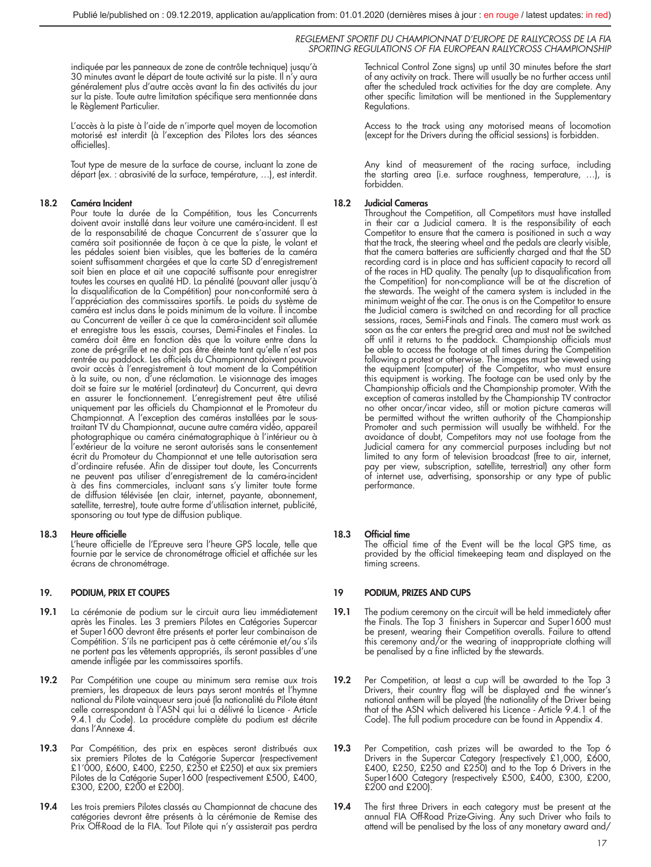indiquée par les panneaux de zone de contrôle technique) jusqu'à 30 minutes avant le départ de toute activité sur la piste. Il n'y aura généralement plus d'autre accès avant la fin des activités du jour sur la piste. Toute autre limitation spécifique sera mentionnée dans le Règlement Particulier.

L'accès à la piste à l'aide de n'importe quel moyen de locomotion motorisé est interdit (à l'exception des Pilotes lors des séances officielles).

Tout type de mesure de la surface de course, incluant la zone de départ (ex. : abrasivité de la surface, température, …), est interdit.

## 18.2 Caméra Incident

Pour toute la durée de la Compétition, tous les Concurrents doivent avoir installé dans leur voiture une caméra-incident. Il est de la responsabilité de chaque Concurrent de s'assurer que la caméra soit positionnée de façon à ce que la piste, le volant et les pédales soient bien visibles, que les batteries de la caméra soient suffisamment chargées et que la carte SD d'enregistrement soit bien en place et ait une capacité suffisante pour enregistrer toutes les courses en qualité HD. La pénalité (pouvant aller jusqu'à la disqualification de la Compétition) pour non-conformité sera à l'appréciation des commissaires sportifs. Le poids du système de caméra est inclus dans le poids minimum de la voiture. Il incombe au Concurrent de veiller à ce que la caméra-incident soit allumée et enregistre tous les essais, courses, Demi-Finales et Finales. La caméra doit être en fonction dès que la voiture entre dans la zone de pré-grille et ne doit pas être éteinte tant qu'elle n'est pas rentrée au paddock. Les officiels du Championnat doivent pouvoir avoir accès à l'enregistrement à tout moment de la Compétition à la suite, ou non, d'une réclamation. Le visionnage des images doit se faire sur le matériel (ordinateur) du Concurrent, qui devra en assurer le fonctionnement. L'enregistrement peut être utilisé uniquement par les officiels du Championnat et le Promoteur du Championnat. A l'exception des caméras installées par le soustraitant TV du Championnat, aucune autre caméra vidéo, appareil photographique ou caméra cinématographique à l'intérieur ou à l'extérieur de la voiture ne seront autorisés sans le consentement écrit du Promoteur du Championnat et une telle autorisation sera d'ordinaire refusée. Afin de dissiper tout doute, les Concurrents ne peuvent pas utiliser d'enregistrement de la caméra-incident à des fins commerciales, incluant sans s'y limiter toute forme de diffusion télévisée (en clair, internet, payante, abonnement, satellite, terrestre), toute autre forme d'utilisation internet, publicité, sponsoring ou tout type de diffusion publique.

#### 18.3 Heure officielle

L'heure officielle de l'Epreuve sera l'heure GPS locale, telle que fournie par le service de chronométrage officiel et affichée sur les écrans de chronométrage.

## 19. PODIUM, PRIX ET COUPES

- 19.1 La cérémonie de podium sur le circuit aura lieu immédiatement après les Finales. Les 3 premiers Pilotes en Catégories Supercar et Super1600 devront être présents et porter leur combinaison de Compétition. S'ils ne participent pas à cette cérémonie et/ou s'ils ne portent pas les vêtements appropriés, ils seront passibles d'une amende infligée par les commissaires sportifs.
- 19.2 Par Compétition une coupe au minimum sera remise aux trois premiers, les drapeaux de leurs pays seront montrés et l'hymne national du Pilote vainqueur sera joué (la nationalité du Pilote étant celle correspondant à l'ASN qui lui a délivré la Licence - Article 9.4.1 du Code). La procédure complète du podium est décrite dans l'Annexe 4.
- 19.3 Par Compétition, des prix en espèces seront distribués aux six premiers Pilotes de la Catégorie Supercar (respectivement<br>£1'000, £600, £400, £250, £250 et £250) et aux six premiers<br>Pilotes de la Catégorie Super1600 (respectivement £500, £400, £300, £200, £200 et £200).
- 19.4 Les trois premiers Pilotes classés au Championnat de chacune des catégories devront être présents à la cérémonie de Remise des Prix Off-Road de la FIA. Tout Pilote qui n'y assisterait pas perdra

Technical Control Zone signs) up until 30 minutes before the start of any activity on track. There will usually be no further access until after the scheduled track activities for the day are complete. Any other specific limitation will be mentioned in the Supplementary Regulations.

Access to the track using any motorised means of locomotion (except for the Drivers during the official sessions) is forbidden.

Any kind of measurement of the racing surface, including the starting area (i.e. surface roughness, temperature, …), is forbidden.

## 18.2 Judicial Cameras

Throughout the Competition, all Competitors must have installed in their car a Judicial camera. It is the responsibility of each Competitor to ensure that the camera is positioned in such a way that the track, the steering wheel and the pedals are clearly visible, that the camera batteries are sufficiently charged and that the SD recording card is in place and has sufficient capacity to record all of the races in HD quality. The penalty (up to disqualification from the Competition) for non-compliance will be at the discretion of the stewards. The weight of the camera system is included in the minimum weight of the car. The onus is on the Competitor to ensure the Judicial camera is switched on and recording for all practice sessions, races, Semi-Finals and Finals. The camera must work as soon as the car enters the pre-grid area and must not be switched off until it returns to the paddock. Championship officials must be able to access the footage at all times during the Competition following a protest or otherwise. The images must be viewed using the equipment (computer) of the Competitor, who must ensure this equipment is working. The footage can be used only by the Championship officials and the Championship promoter. With the exception of cameras installed by the Championship TV contractor no other oncar/incar video, still or motion picture cameras will be permitted without the written authority of the Championship Promoter and such permission will usually be withheld. For the avoidance of doubt, Competitors may not use footage from the Judicial camera for any commercial purposes including but not limited to any form of television broadcast (free to air, internet, pay per view, subscription, satellite, terrestrial) any other form of internet use, advertising, sponsorship or any type of public performance.

## 18.3 Official time

The official time of the Event will be the local GPS time, as provided by the official timekeeping team and displayed on the timina screens.

## 19 PODIUM, PRIZES AND CUPS

- 19.1 The podium ceremony on the circuit will be held immediately after the Finals. The Top 3 finishers in Supercar and Super1600 must be present, wearing their Competition overalls. Failure to attend this ceremony and/or the wearing of inappropriate clothing will be penalised by a fine inflicted by the stewards.
- 19.2 Per Competition, at least a cup will be awarded to the Top 3 Drivers, their country flag will be displayed and the winner's national anthem will be played (the nationality of the Driver being that of the ASN which delivered his Licence - Article 9.4.1 of the Code). The full podium procedure can be found in Appendix 4.
- 19.3 Per Competition, cash prizes will be awarded to the Top 6 Drivers in the Supercar Category (respectively £1,000, £600,<br>£400, £250, £250 and £250) and to the Top 6 Drivers in the<br>Super1600 Category (respectively £500, £400, £300, £200, £200 and £200).
- 19.4 The first three Drivers in each category must be present at the annual FIA Off-Road Prize-Giving. Any such Driver who fails to attend will be penalised by the loss of any monetary award and/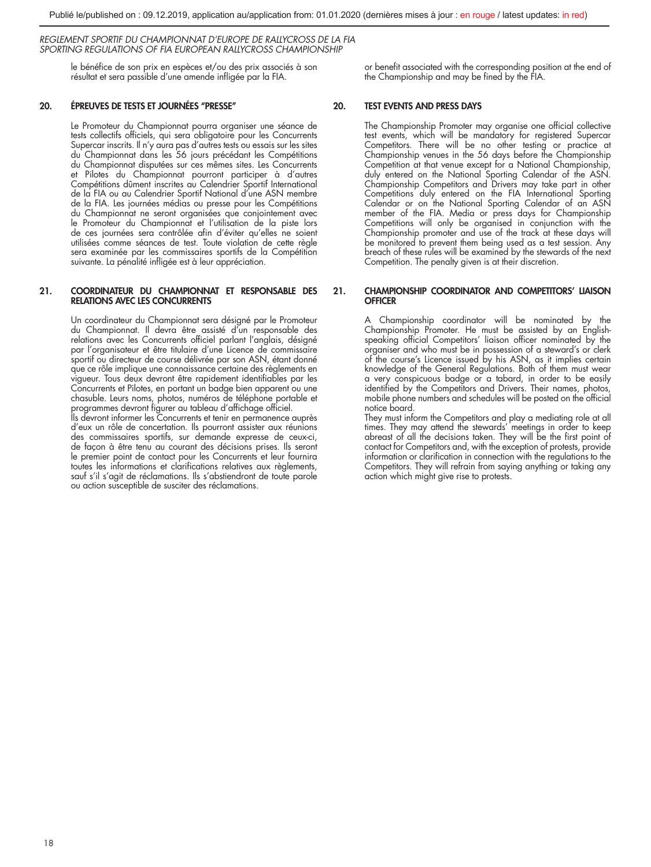le bénéfice de son prix en espèces et/ou des prix associés à son résultat et sera passible d'une amende infligée par la FIA.

## 20. ÉPREUVES DE TESTS ET JOURNÉES ''PRESSE''

Le Promoteur du Championnat pourra organiser une séance de tests collectifs officiels, qui sera obligatoire pour les Concurrents Supercar inscrits. Il n'y aura pas d'autres tests ou essais sur les sites du Championnat dans les 56 jours précédant les Compétitions du Championnat disputées sur ces mêmes sites. Les Concurrents et Pilotes du Championnat pourront participer à d'autres Compétitions dûment inscrites au Calendrier Sportif International de la FIA ou au Calendrier Sportif National d'une ASN membre de la FIA. Les journées médias ou presse pour les Compétitions du Championnat ne seront organisées que conjointement avec le Promoteur du Championnat et l'utilisation de la piste lors de ces journées sera contrôlée afin d'éviter qu'elles ne soient utilisées comme séances de test. Toute violation de cette règle sera examinée par les commissaires sportifs de la Compétition suivante. La pénalité infligée est à leur appréciation.

## 21. COORDINATEUR DU CHAMPIONNAT ET RESPONSABLE DES RELATIONS AVEC LES CONCURRENTS

Un coordinateur du Championnat sera désigné par le Promoteur du Championnat. Il devra être assisté d'un responsable des relations avec les Concurrents officiel parlant l'anglais, désigné par l'organisateur et être titulaire d'une Licence de commissaire sportif ou directeur de course délivrée par son ASN, étant donné que ce rôle implique une connaissance certaine des règlements en vigueur. Tous deux devront être rapidement identifiables par les Concurrents et Pilotes, en portant un badge bien apparent ou une chasuble. Leurs noms, photos, numéros de téléphone portable et programmes devront figurer au tableau d'affichage officiel.

Ils devront informer les Concurrents et tenir en permanence auprès d'eux un rôle de concertation. Ils pourront assister aux réunions des commissaires sportifs, sur demande expresse de ceux-ci, de façon à être tenu au courant des décisions prises. Ils seront le premier point de contact pour les Concurrents et leur fournira toutes les informations et clarifications relatives aux règlements, sauf s'il s'agit de réclamations. Ils s'abstiendront de toute parole ou action susceptible de susciter des réclamations.

or benefit associated with the corresponding position at the end of the Championship and may be fined by the FIA.

## 20. TEST EVENTS AND PRESS DAYS

The Championship Promoter may organise one official collective test events, which will be mandatory for registered Supercar Competitors. There will be no other testing or practice at Championship venues in the 56 days before the Championship Competition at that venue except for a National Championship, duly entered on the National Sporting Calendar of the ASN. Championship Competitors and Drivers may take part in other Competitions duly entered on the FIA International Sporting Calendar or on the National Sporting Calendar of an ASN member of the FIA. Media or press days for Championship Competitions will only be organised in conjunction with the Championship promoter and use of the track at these days will be monitored to prevent them being used as a test session. Any breach of these rules will be examined by the stewards of the next Competition. The penalty given is at their discretion.

## 21. CHAMPIONSHIP COORDINATOR AND COMPETITORS' LIAISON **OFFICER**

A Championship coordinator will be nominated by the Championship Promoter. He must be assisted by an English-speaking official Competitors' liaison officer nominated by the organiser and who must be in possession of a steward's or clerk of the course's Licence issued by his ASN, as it implies certain knowledge of the General Regulations. Both of them must wear a very conspicuous badge or a tabard, in order to be easily identified by the Competitors and Drivers. Their names, photos, mobile phone numbers and schedules will be posted on the official notice board.

They must inform the Competitors and play a mediating role at all times. They may attend the stewards' meetings in order to keep abreast of all the decisions taken. They will be the first point of contact for Competitors and, with the exception of protests, provide information or clarification in connection with the regulations to the Competitors. They will refrain from saying anything or taking any action which might give rise to protests.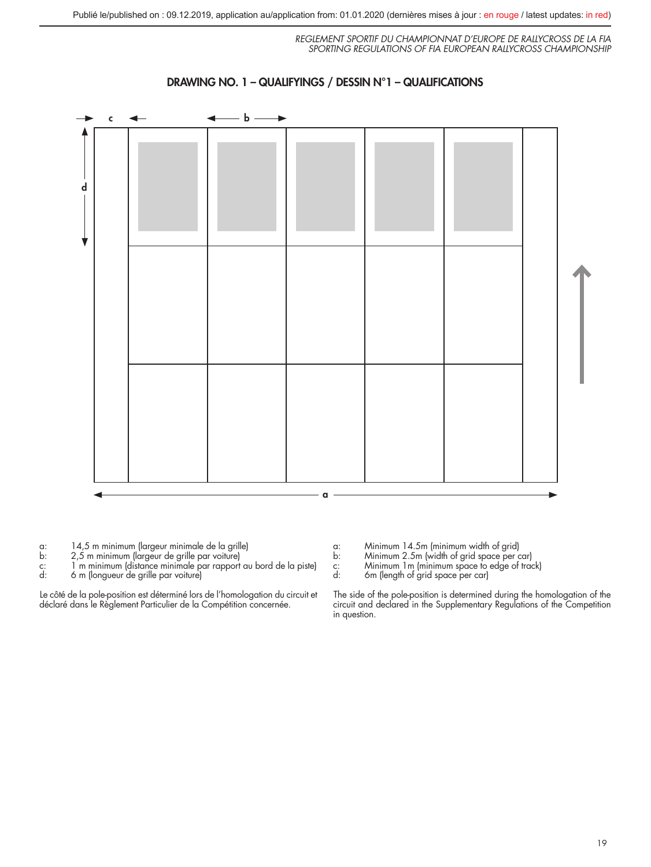



a: 14,5 m minimum (largeur minimale de la grille)

- 
- b: 2,5 m minimum (largeur de grille par voiture) c: 1 m minimum (distance minimale par rapport au bord de la piste)
- d: 6 m (longueur de grille par voiture)

Le côté de la pole-position est déterminé lors de l'homologation du circuit et déclaré dans le Règlement Particulier de la Compétition concernée.

- a: Minimum 14.5m (minimum width of grid) b: Minimum 2.5m (width of grid space per car) c: Minimum 1m (minimum space to edge of track)
- 
- c: Minimum 1m (minimum space to<br>d: 6m (length of grid space per car)
	-

The side of the pole-position is determined during the homologation of the circuit and declared in the Supplementary Regulations of the Competition in question.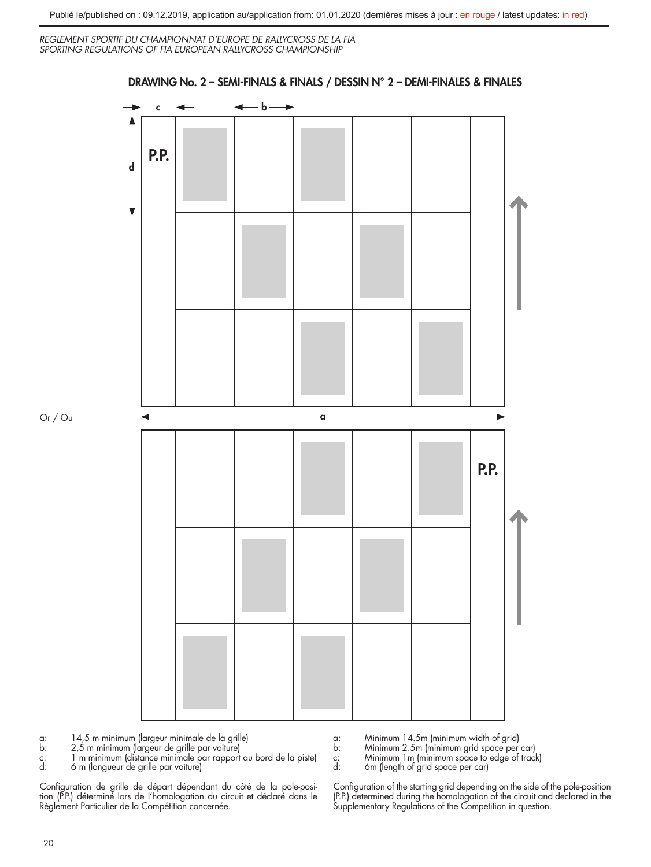DRAWING No. 2 – SEMI-FINALS & FINALS / DESSIN N° 2 – DEMI-FINALES & FINALES

*REGLEMENT SPORTIF DU CHAMPIONNAT D'EUROPE DE RALLYCROSS DE LA FIA SPORTING REGULATIONS OF FIA EUROPEAN RALLYCROSS CHAMPIONSHIP* 

# c <del>∢ d</del> d a P.P. P.P.

Or / Ou

a: 14,5 m minimum (largeur minimale de la grille)

b: 2,5 m minimum (largeur de grille par voiture) c: 1 m minimum (distance minimale par rapport au bord de la piste) d: 6 m (longueur de grille par voiture)

Configuration de grille de départ dépendant du côté de la pole-posi-tion (P.P.) déterminé lors de l'homologation du circuit et déclaré dans le Règlement Particulier de la Compétition concernée.

a: Minimum 14.5m (minimum width of grid)

b: Minimum 2.5m (minimum grid space per car)<br>c: Minimum 1 m (minimum space to edge of track<br>d: 6 m (length of grid space per car)

c: Minimum 1m (minimum space to edge of track) d: 6m (length of grid space per car)

Configuration of the starting grid depending on the side of the pole-position (P.P.) determined during the homologation of the circuit and declared in the Supplementary Regulations of the Competition in question.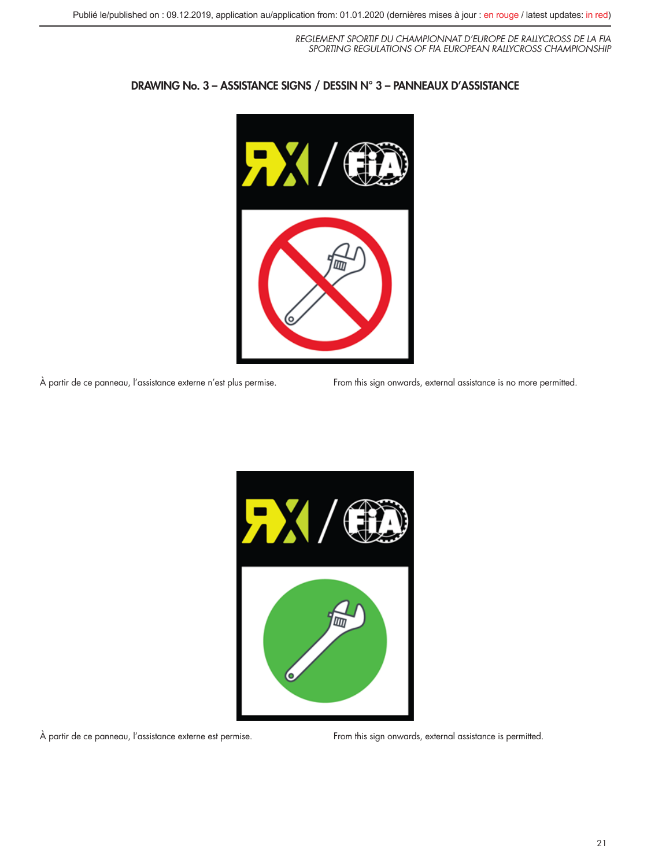

## DRAWING No. 3 – ASSISTANCE SIGNS / DESSIN N° 3 – PANNEAUX D'ASSISTANCE

À partir de ce panneau, l'assistance externe n'est plus permise. From this sign onwards, external assistance is no more permitted.



À partir de ce panneau, l'assistance externe est permise. From this sign onwards, external assistance is permitted.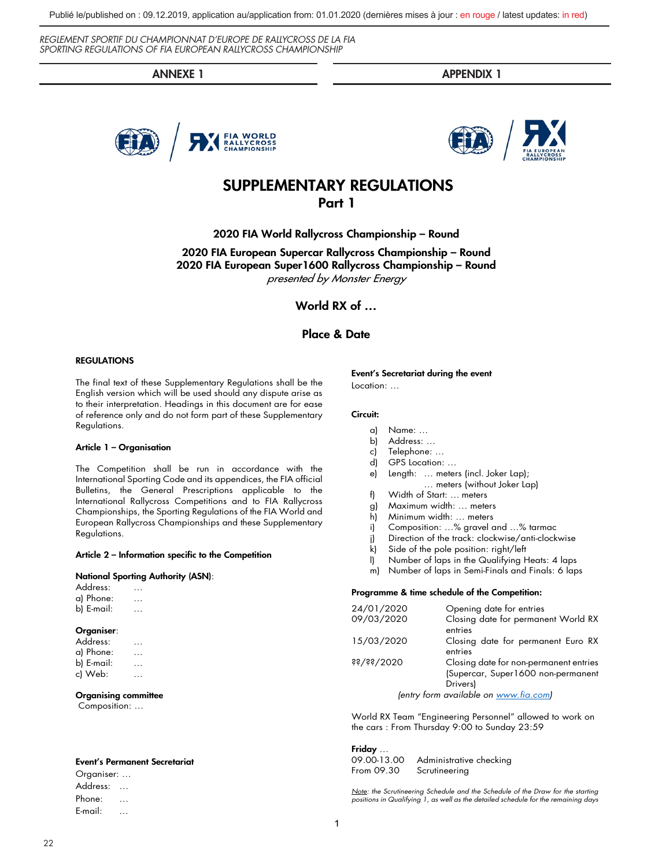ANNEXE 1 APPENDIX 1





# SUPPLEMENTARY REGULATIONS

## Part 1

2020 FIA World Rallycross Championship – Round

2020 FIA European Supercar Rallycross Championship – Round 2020 FIA European Super1600 Rallycross Championship – Round presented by Monster Energy

World RX of …

## Place & Date

## **REGULATIONS**

The final text of these Supplementary Regulations shall be the English version which will be used should any dispute arise as to their interpretation. Headings in this document are for ease of reference only and do not form part of these Supplementary Regulations.

#### Article 1 – Organisation

The Competition shall be run in accordance with the International Sporting Code and its appendices, the FIA official Bulletins, the General Prescriptions applicable to the International Rallycross Competitions and to FIA Rallycross Championships, the Sporting Regulations of the FIA World and European Rallycross Championships and these Supplementary Regulations.

#### Article 2 – Information specific to the Competition

#### National Sporting Authority (ASN):

Address: … a) Phone: … b) E-mail: …

#### Organiser:

| Address:   |  |          |  |
|------------|--|----------|--|
| a) Phone:  |  | .        |  |
| b) E-mail: |  | $\cdots$ |  |
| c) Web:    |  |          |  |

#### Organising committee

Composition: …

#### Event's Permanent Secretariat

Organiser: … Address: … Phone: … E-mail: …

22

Event's Secretariat during the event

Location: …

#### Circuit:

- a) Name: …
- b) Address: …
- c) Telephone: …
- d) GPS Location: …
- e) Length: … meters (incl. Joker Lap);
	- … meters (without Joker Lap)
- f) Width of Start: … meters
- g) Maximum width: … meters
- h) Minimum width: … meters
- i) Composition: …% gravel and …% tarmac
- j) Direction of the track: clockwise/anti-clockwise
- k) Side of the pole position: right/left<br>I) Number of laps in the Qualifying H
- l) Number of laps in the Qualifying Heats: 4 laps
- m) Number of laps in Semi-Finals and Finals: 6 laps

#### Programme & time schedule of the Competition:

| 24/01/2020   | Opening date for entries                                                                 |
|--------------|------------------------------------------------------------------------------------------|
| 09/03/2020   | Closing date for permanent World RX<br>entries                                           |
| 15/03/2020   | Closing date for permanent Euro RX<br>entries                                            |
| \$3/3\$/3020 | Closing date for non-permanent entries<br>(Supercar, Super1600 non-permanent<br>Drivers) |
|              | (entry form available on www.fia.com)                                                    |

World RX Team "Engineering Personnel" allowed to work on the cars : From Thursday 9:00 to Sunday 23:59

#### Friday …

09.00-13.00 Administrative checking From 09.30 Scrutineering

*Note: the Scrutineering Schedule and the Schedule of the Draw for the starting positions in Qualifying 1, as well as the detailed schedule for the remaining days*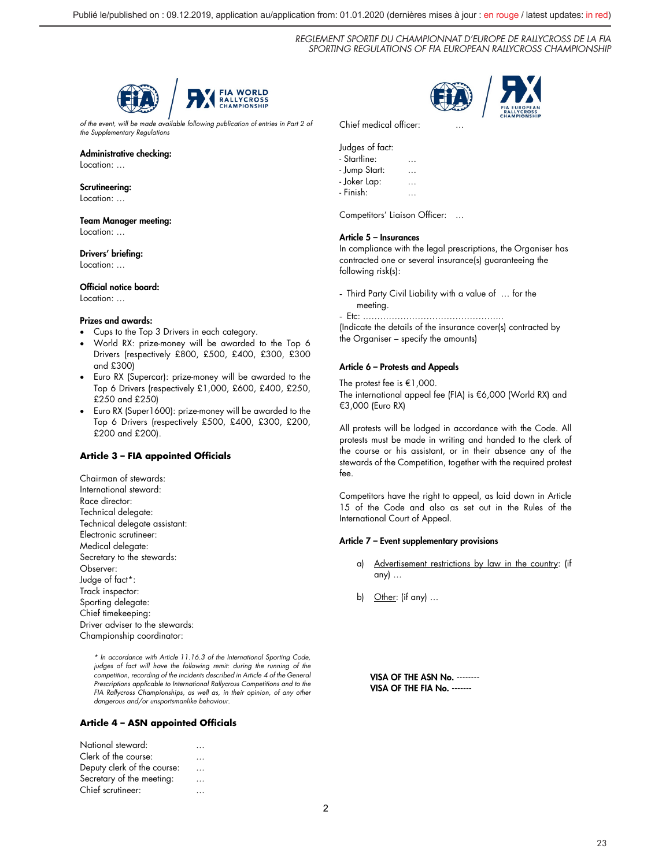

*of the event, will be made available following publication of entries in Part 2 of the Supplementary Regulations*

## Administrative checking:

Location: …

#### Scrutineering:

Location: ...

## Team Manager meeting:

Location: …

## Drivers' briefing:

Location: …

## Official notice board:

Location: …

## Prizes and awards:

- Cups to the Top 3 Drivers in each category.
- World RX: prize-money will be awarded to the Top 6 Drivers (respectively £800, £500, £400, £300, £300 and £300)
- Euro RX (Supercar): prize-money will be awarded to the Top 6 Drivers (respectively £1,000, £600, £400, £250, £250 and £250)
- Euro RX (Super1600): prize-money will be awarded to the Top 6 Drivers (respectively £500, £400, £300, £200, £200 and £200).

## **Article 3 – FIA appointed Officials**

Chairman of stewards: International steward: Race director: Technical delegate: Technical delegate assistant: Electronic scrutineer: Medical delegate: Secretary to the stewards: Observer: Judge of fact\*: Track inspector: Sporting delegate: Chief timekeeping: Driver adviser to the stewards: Championship coordinator:

> *\* In accordance with Article 11.16.3 of the International Sporting Code, judges of fact will have the following remit: during the running of the competition, recording of the incidents described in Article 4 of the General Prescriptions applicable to International Rallycross Competitions and to the FIA Rallycross Championships, as well as, in their opinion, of any other dangerous and/or unsportsmanlike behaviour.*

## **Article 4 – ASN appointed Officials**

| National steward:           |          |
|-----------------------------|----------|
| Clerk of the course:        |          |
| Deputy clerk of the course: | .        |
| Secretary of the meeting:   | $\cdots$ |
| Chief scrutineer:           |          |
|                             |          |



Chief medical officer:

## Judges of fact:

- Startline: …
- Jump Start: …
- Joker Lap: …
- Finish: …

Competitors' Liaison Officer: …

## Article 5 – Insurances

In compliance with the legal prescriptions, the Organiser has contracted one or several insurance(s) guaranteeing the following risk(s):

- Third Party Civil Liability with a value of … for the
- meeting. - Etc: .………………………………………...

(Indicate the details of the insurance cover(s) contracted by the Organiser – specify the amounts)

## Article 6 – Protests and Appeals

The protest fee is €1,000. The international appeal fee (FIA) is €6,000 (World RX) and €3,000 (Euro RX)

All protests will be lodged in accordance with the Code. All protests must be made in writing and handed to the clerk of the course or his assistant, or in their absence any of the stewards of the Competition, together with the required protest fee.

Competitors have the right to appeal, as laid down in Article 15 of the Code and also as set out in the Rules of the International Court of Appeal.

## Article 7 – Event supplementary provisions

- a) Advertisement restrictions by law in the country: (if any) …
- b) Other: (if any) …

VISA OF THE ASN No. -------- VISA OF THE FIA No. -------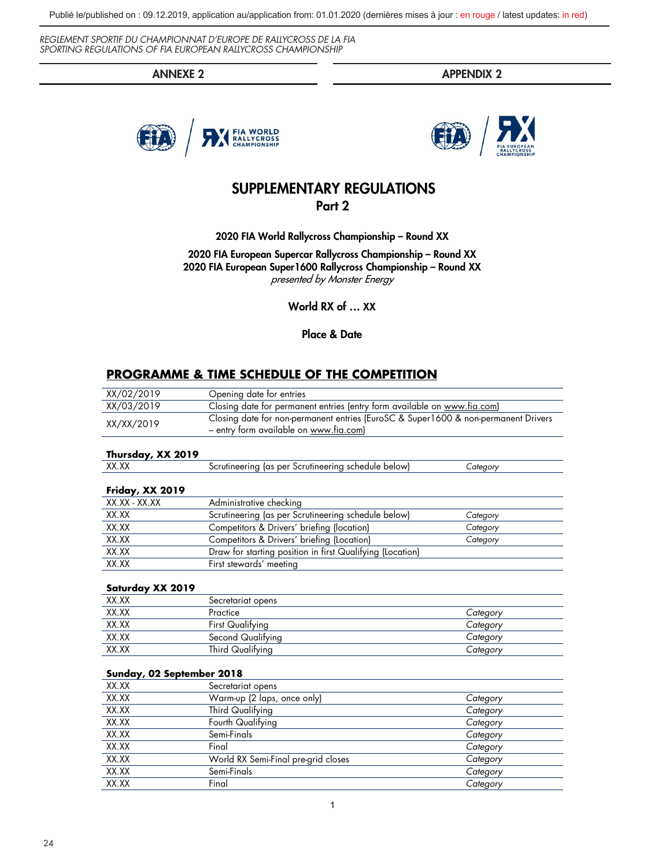Publié le/published on : 09.12.2019, application au/application from: 01.01.2020 (dernières mises à jour : en rouge / latest updates: in red)

*REGLEMENT SPORTIF DU CHAMPIONNAT D'EUROPE DE RALLYCROSS DE LA FIA SPORTING REGULATIONS OF FIA EUROPEAN RALLYCROSS CHAMPIONSHIP* 

ANNEXE 2 APPENDIX 2





## SUPPLEMENTARY REGULATIONS Part 2

2020 FIA World Rallycross Championship – Round XX

2020 FIA European Supercar Rallycross Championship – Round XX 2020 FIA European Super1600 Rallycross Championship – Round XX presented by Monster Energy

World RX of … XX

Place & Date

## **PROGRAMME & TIME SCHEDULE OF THE COMPETITION**

| XX/02/2019                                                                                       |                                                                          |          |
|--------------------------------------------------------------------------------------------------|--------------------------------------------------------------------------|----------|
|                                                                                                  | Opening date for entries                                                 |          |
| XX/03/2019                                                                                       | Closing date for permanent entries (entry form available on www.fia.com) |          |
| Closing date for non-permanent entries (EuroSC & Super1600 & non-permanent Drivers<br>XX/XX/2019 |                                                                          |          |
|                                                                                                  | - entry form available on www.fia.com)                                   |          |
|                                                                                                  |                                                                          |          |
| Thursday, XX 2019                                                                                |                                                                          |          |
| XX.XX                                                                                            | Scrutineering (as per Scrutineering schedule below)                      | Category |
|                                                                                                  |                                                                          |          |
| Friday, XX 2019                                                                                  |                                                                          |          |
| XX.XX - XX.XX                                                                                    | Administrative checking                                                  |          |
| XX.XX                                                                                            | Scrutineering (as per Scrutineering schedule below)                      | Category |
| XX.XX                                                                                            | Competitors & Drivers' briefing (location)                               | Category |
| XX.XX                                                                                            | Competitors & Drivers' briefing (Location)                               | Category |
| XX.XX                                                                                            | Draw for starting position in first Qualifying (Location)                |          |
| XX.XX                                                                                            | First stewards' meeting                                                  |          |
|                                                                                                  |                                                                          |          |
| Saturday XX 2019                                                                                 |                                                                          |          |
| XX.XX                                                                                            | Secretariat opens                                                        |          |
| XX.XX                                                                                            | Practice                                                                 | Category |
| XX.XX                                                                                            | <b>First Qualifying</b>                                                  | Category |
| XX.XX                                                                                            | Second Qualifying                                                        | Category |
| XX.XX                                                                                            | Third Qualifying                                                         | Category |
|                                                                                                  |                                                                          |          |
| Sunday, 02 September 2018                                                                        |                                                                          |          |
| XX.XX                                                                                            | Secretariat opens                                                        |          |
| XX.XX                                                                                            | Warm-up (2 laps, once only)                                              | Category |
| XX.XX                                                                                            | Third Qualifying                                                         | Category |
| XX.XX                                                                                            | Fourth Qualifying                                                        | Category |
| XX.XX                                                                                            | Semi-Finals                                                              | Category |
| XX.XX                                                                                            | Final                                                                    | Category |
| XX.XX                                                                                            | World RX Semi-Final pre-grid closes                                      | Category |
| XX.XX                                                                                            | Semi-Finals                                                              | Category |
| XX.XX                                                                                            | Final                                                                    | Category |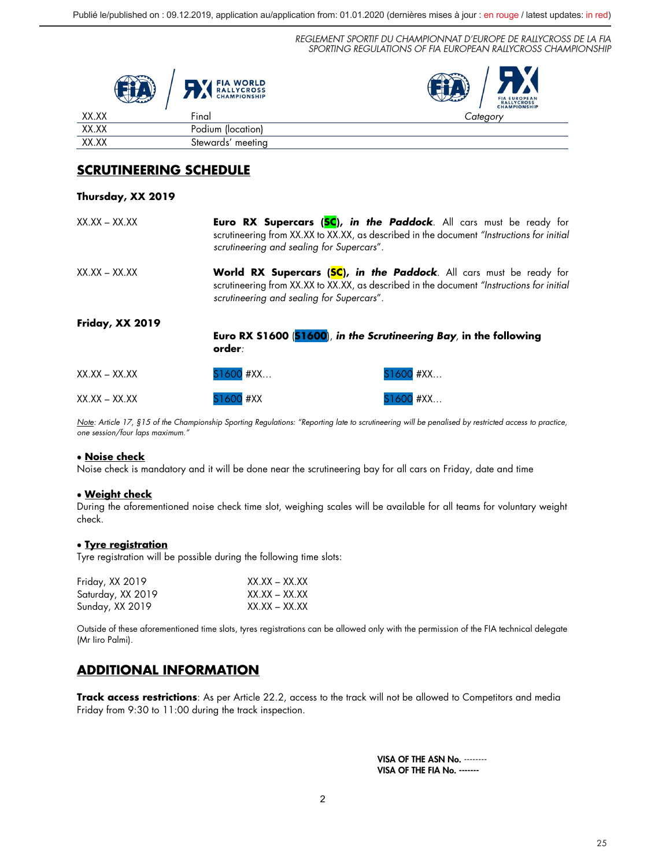|       | <b>FIA WORLD</b><br><b>RALLYCROSS</b><br><b>CHAMPIONSHIP</b> | FIA EUROPEAN<br>RALLYCROSS<br>CHAMPIONSHIP |
|-------|--------------------------------------------------------------|--------------------------------------------|
| XX.XX | Final                                                        | Cateaorv                                   |
| XX.XX | Podium (location)                                            |                                            |
| XX.XX | Stewards' meeting                                            |                                            |

## **SCRUTINEERING SCHEDULE**

## **Thursday, XX 2019**

| $XX$ , $XX - XX$ , $XX$ | scrutineering and sealing for Supercars".                                                                                                                                                                     | <b>Euro RX Supercars (SC), in the Paddock</b> . All cars must be ready for<br>scrutineering from XX.XX to XX.XX, as described in the document "Instructions for initial |
|-------------------------|---------------------------------------------------------------------------------------------------------------------------------------------------------------------------------------------------------------|-------------------------------------------------------------------------------------------------------------------------------------------------------------------------|
| $XX$ , $XX - XX$ , $XX$ | World RX Supercars (SC), in the Paddock. All cars must be ready for<br>scrutineering from XX.XX to XX.XX, as described in the document "Instructions for initial<br>scrutineering and sealing for Supercars". |                                                                                                                                                                         |
| <b>Friday, XX 2019</b>  | order:                                                                                                                                                                                                        | Euro RX \$1600 (\$1600), in the Scrutineering Bay, in the following                                                                                                     |
| $XX$ , $XX - XX$ , $XX$ | S1600 #XX                                                                                                                                                                                                     | S1600 #XX                                                                                                                                                               |
| $XX$ , $XX - XX$ , $XX$ | S1600 #XX                                                                                                                                                                                                     | S1600 #XX                                                                                                                                                               |

*Note: Article 17, §15 of the Championship Sporting Regulations: "Reporting late to scrutineering will be penalised by restricted access to practice, one session/four laps maximum."*

## • **Noise check**

Noise check is mandatory and it will be done near the scrutineering bay for all cars on Friday, date and time

## • **Weight check**

During the aforementioned noise check time slot, weighing scales will be available for all teams for voluntary weight check.

## • **Tyre registration**

Tyre registration will be possible during the following time slots:

| Friday, XX 2019   | $XX$ $XX - XX$ $XX$ |
|-------------------|---------------------|
| Saturday, XX 2019 | $XX$ $XX - XX$ $XX$ |
| Sunday, XX 2019   | XX.XX – XX.XX       |

Outside of these aforementioned time slots, tyres registrations can be allowed only with the permission of the FIA technical delegate (Mr Iiro Palmi).

## **ADDITIONAL INFORMATION**

**Track access restrictions**: As per Article 22.2, access to the track will not be allowed to Competitors and media Friday from 9:30 to 11:00 during the track inspection.

> VISA OF THE ASN No. -------- VISA OF THE FIA No. -------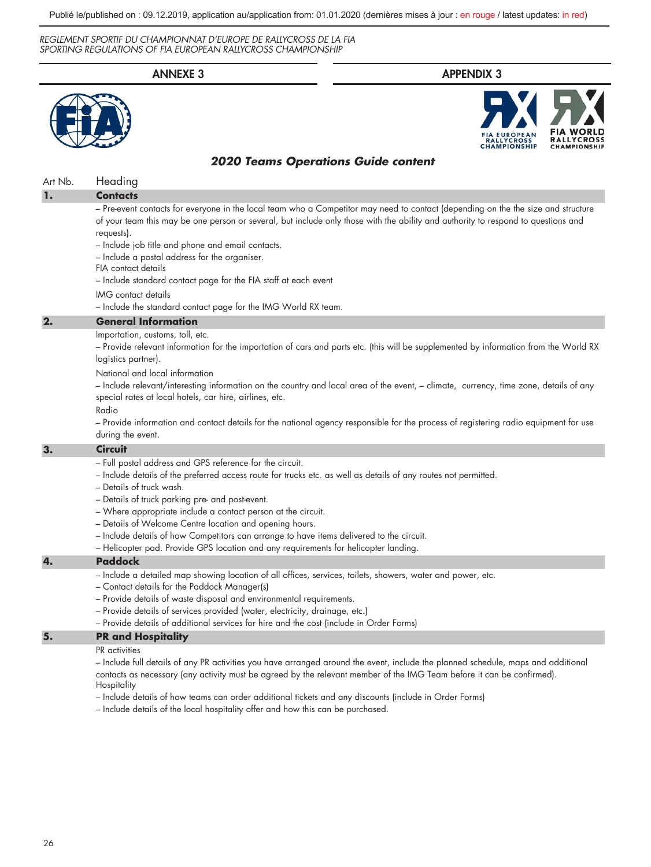

- Include details of how teams can order additional tickets and any discounts (include in Order Forms)
- Include details of the local hospitality offer and how this can be purchased.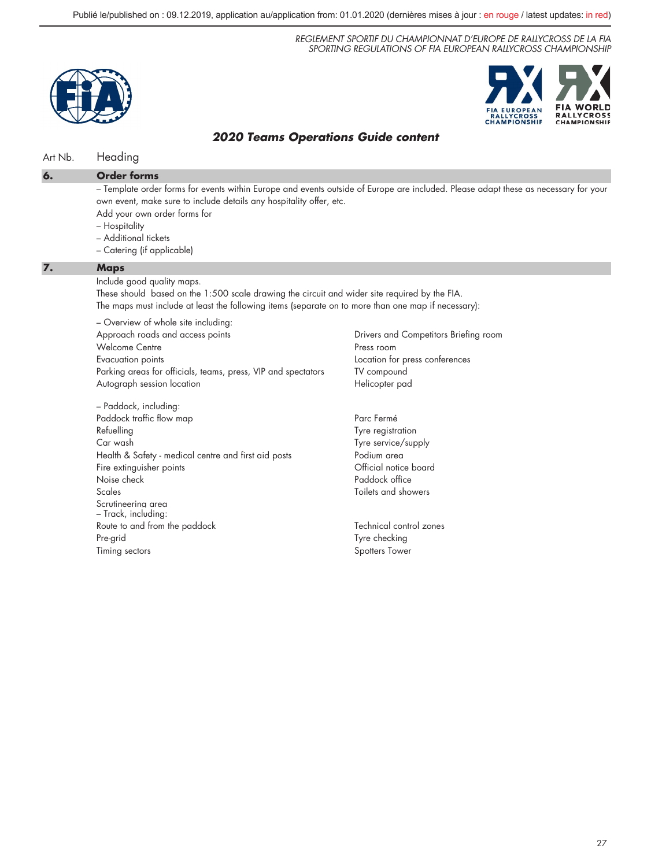



## *2020 Teams Operations Guide content*

## Art Nb. Heading

– Template order forms for events within Europe and events outside of Europe are included. Please adapt these as necessary for your own event, make sure to include details any hospitality offer, etc. Add your own order forms for

- Hospitality
- Additional tickets
- Catering (if applicable)

#### **7. Maps**

Include good quality maps.

These should based on the 1:500 scale drawing the circuit and wider site required by the FIA. The maps must include at least the following items (separate on to more than one map if necessary):

– Overview of whole site including: Approach roads and access points Welcome Centre Evacuation points Parking areas for officials, teams, press, VIP and spectators Autograph session location

– Paddock, including: Paddock traffic flow map Refuelling Car wash Health & Safety - medical centre and first aid posts Fire extinguisher points Noise check Scales Scrutineering area – Track, including: Route to and from the paddock Pre-grid Timing sectors

Drivers and Competitors Briefing room Press room Location for press conferences TV compound Helicopter pad

Parc Fermé Tyre registration Tyre service/supply Podium area Official notice board Paddock office Toilets and showers

Technical control zones Tyre checking Spotters Tower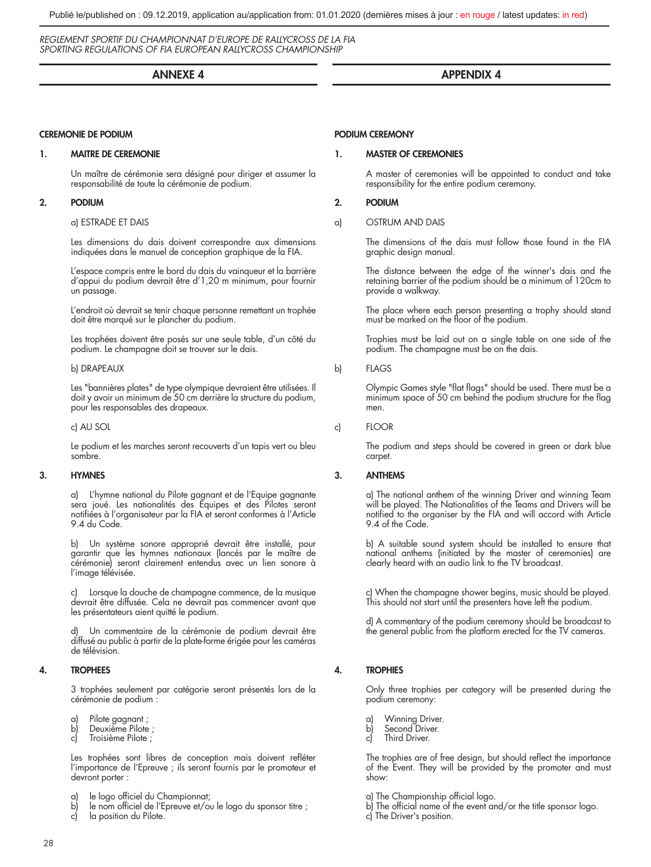## ANNEXE 4

#### CEREMONIE DE PODIUM

## 1. MAITRE DE CEREMONIE

Un maître de cérémonie sera désigné pour diriger et assumer la responsabilité de toute la cérémonie de podium.

## 2. PODIUM

## a) ESTRADE ET DAIS

Les dimensions du dais doivent correspondre aux dimensions indiquées dans le manuel de conception graphique de la FIA.

L'espace compris entre le bord du dais du vainqueur et la barrière d'appui du podium devrait être d'1,20 m minimum, pour fournir un passage.

L'endroit où devrait se tenir chaque personne remettant un trophée doit être marqué sur le plancher du podium.

Les trophées doivent être posés sur une seule table, d'un côté du podium. Le champagne doit se trouver sur le dais.

#### b) DRAPEAUX

Les "bannières plates" de type olympique devraient être utilisées. Il doit y avoir un minimum de 50 cm derrière la structure du podium, pour les responsables des drapeaux.

c) AU SOL

Le podium et les marches seront recouverts d'un tapis vert ou bleu sombre.

## 3. HYMNES

a) L'hymne national du Pilote gagnant et de l'Equipe gagnante sera joué. Les nationalités des Equipes et des Pilotes seront notifiées à l'organisateur par la FIA et seront conformes à l'Article 9.4 du Code.

b) Un système sonore approprié devrait être installé, pour garantir que les hymnes nationaux (lancés par le maître de cérémonie) seront clairement entendus avec un lien sonore à l'image télévisée.

c) Lorsque la douche de champagne commence, de la musique devrait être diffusée. Cela ne devrait pas commencer avant que les présentateurs aient quitté le podium.

Un commentaire de la cérémonie de podium devrait être diffusé au public à partir de la plate-forme érigée pour les caméras de télévision.

## 4. TROPHEES

3 trophées seulement par catégorie seront présentés lors de la cérémonie de podium :

- a) Pilote gagnant ;<br>b) Deuxième Pilote
- Deuxième Pilote ;
- c) Troisième Pilote ;

Les trophées sont libres de conception mais doivent refléter l'importance de l'Epreuve ; ils seront fournis par le promoteur et devront porter :

- a) le logo officiel du Championnat;<br>b) le nom officiel de l'Epreuve et/ou
- le nom officiel de l'Epreuve et/ou le logo du sponsor titre ;
- c) la position du Pilote.

## PODIUM CEREMONY

## 1. MASTER OF CEREMONIES

A master of ceremonies will be appointed to conduct and take responsibility for the entire podium ceremony.

APPENDIX 4

## 2. PODIUM

a) OSTRUM AND DAIS

The dimensions of the dais must follow those found in the FIA graphic design manual.

The distance between the edge of the winner's dais and the retaining barrier of the podium should be a minimum of 120cm to provide a walkway.

The place where each person presenting a trophy should stand must be marked on the floor of the podium.

Trophies must be laid out on a single table on one side of the podium. The champagne must be on the dais.

b) FLAGS

Olympic Games style "flat flags" should be used. There must be a minimum space of 50 cm behind the podium structure for the flag men.

c) FLOOR

The podium and steps should be covered in green or dark blue carpet.

## 3. ANTHEMS

a) The national anthem of the winning Driver and winning Team will be played. The Nationalities of the Teams and Drivers will be notified to the organiser by the FIA and will accord with Article 9.4 of the Code.

b) A suitable sound system should be installed to ensure that national anthems (initiated by the master of ceremonies) are clearly heard with an audio link to the TV broadcast.

c) When the champagne shower begins, music should be played. This should not start until the presenters have left the podium.

d) A commentary of the podium ceremony should be broadcast to the general public from the platform erected for the TV cameras.

## 4. TROPHIES

Only three trophies per category will be presented during the podium ceremony:

- a) Winning Driver.<br>b) Second Driver.
- Second Driver.
- c) Third Driver.

The trophies are of free design, but should reflect the importance of the Event. They will be provided by the promoter and must show:

- a) The Championship official logo.
- b) The official name of the event and/or the title sponsor logo.
- c) The Driver's position.